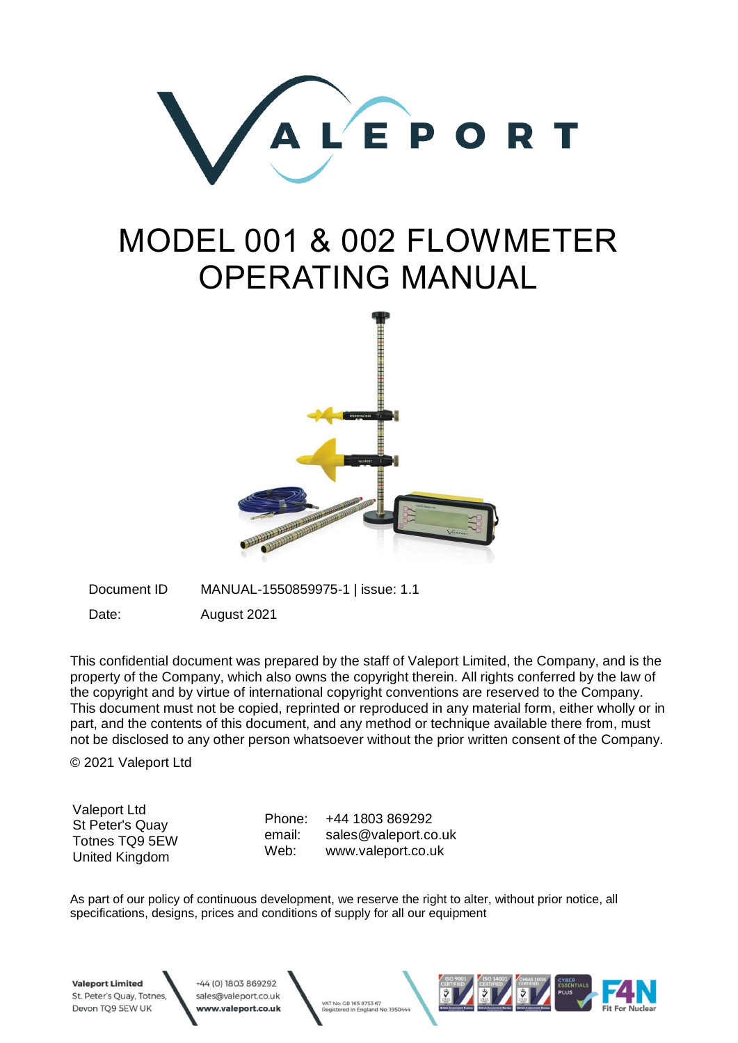

# MODEL 001 & 002 FLOWMETER OPERATING MANUAL



Document ID MANUAL-1550859975-1 | issue: 1.1

Date: August 2021

This confidential document was prepared by the staff of Valeport Limited, the Company, and is the property of the Company, which also owns the copyright therein. All rights conferred by the law of the copyright and by virtue of international copyright conventions are reserved to the Company. This document must not be copied, reprinted or reproduced in any material form, either wholly or in part, and the contents of this document, and any method or technique available there from, must not be disclosed to any other person whatsoever without the prior written consent of the Company.

© 2021 Valeport Ltd

Valeport Ltd St Peter's Quay Totnes TQ9 5EW United Kingdom

Phone: email: Web: +44 1803 869292 sales@valeport.co.uk www.valeport.co.uk

As part of our policy of continuous development, we reserve the right to alter, without prior notice, all specifications, designs, prices and conditions of supply for all our equipment

VAT No: GB 165 8753 67

ed in England No: 19504

**Valeport Limited** St. Peter's Quay, Totnes, Devon TQ9 5EW UK

+44 (0) 1803 869292 sales@valeport.co.uk www.valeport.co.uk

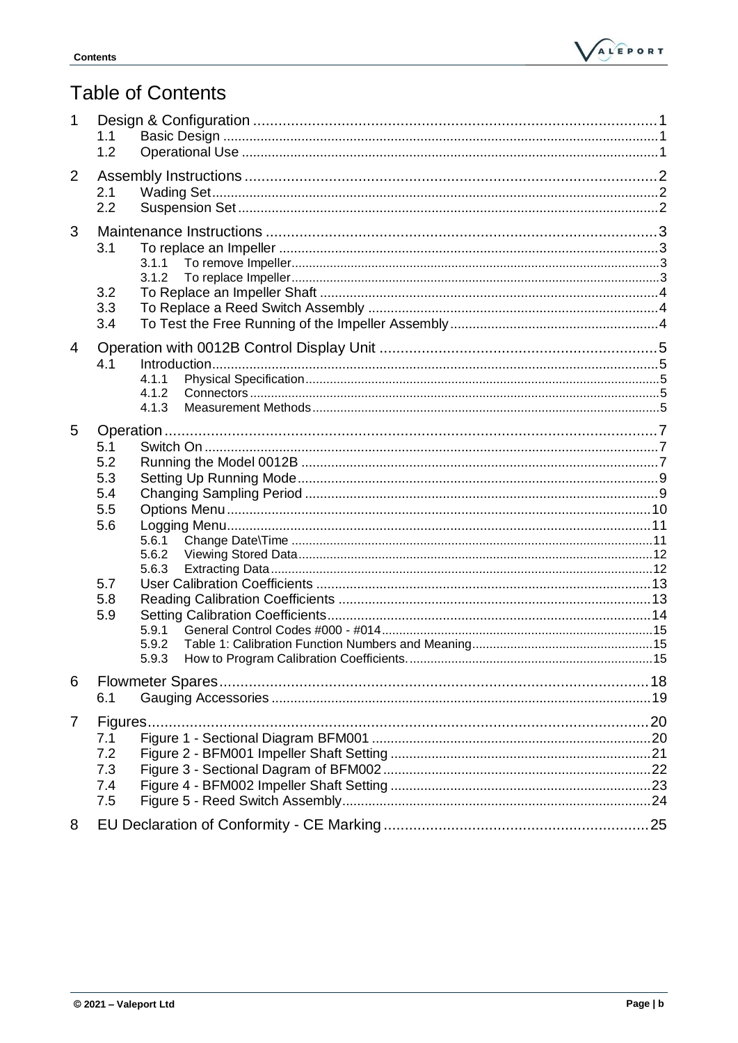

# **Table of Contents**

| 1              | 1.1<br>1.2                                                                                                        |  |
|----------------|-------------------------------------------------------------------------------------------------------------------|--|
| 2              | 2.1<br>2.2                                                                                                        |  |
| 3              | 3.1<br>3.1.1<br>3.1.2<br>3.2<br>3.3<br>3.4                                                                        |  |
| $\overline{4}$ | 4.1<br>4.1.1<br>4.1.2<br>4.1.3                                                                                    |  |
| 5              | 5.1<br>5.2<br>5.3<br>5.4<br>5.5<br>5.6<br>5.6.1<br>5.6.2<br>5.6.3<br>5.7<br>5.8<br>5.9<br>5.9.1<br>5.9.2<br>5.9.3 |  |
| 6              | 6.1                                                                                                               |  |
| 7<br>8         | Figures<br>7.1<br>7.2<br>7.3<br>7.4<br>7.5                                                                        |  |
|                |                                                                                                                   |  |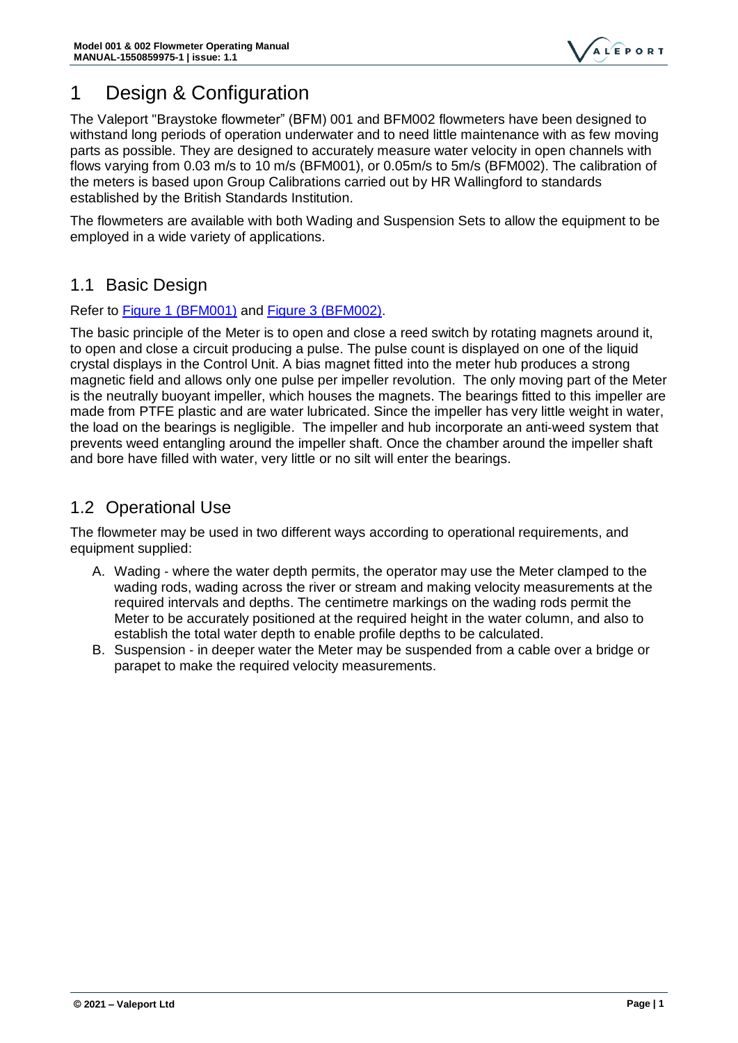

# <span id="page-3-0"></span>1 Design & Configuration

The Valeport "Braystoke flowmeter" (BFM) 001 and BFM002 flowmeters have been designed to withstand long periods of operation underwater and to need little maintenance with as few moving parts as possible. They are designed to accurately measure water velocity in open channels with flows varying from 0.03 m/s to 10 m/s (BFM001), or 0.05m/s to 5m/s (BFM002). The calibration of the meters is based upon Group Calibrations carried out by HR Wallingford to standards established by the British Standards Institution.

The flowmeters are available with both Wading and Suspension Sets to allow the equipment to be employed in a wide variety of applications.

### <span id="page-3-1"></span>1.1 Basic Design

### Refer to [Figure 1 \(BFM001\)](#page-22-1) and [Figure 3 \(BFM002\).](#page-23-1)

The basic principle of the Meter is to open and close a reed switch by rotating magnets around it, to open and close a circuit producing a pulse. The pulse count is displayed on one of the liquid crystal displays in the Control Unit. A bias magnet fitted into the meter hub produces a strong magnetic field and allows only one pulse per impeller revolution. The only moving part of the Meter is the neutrally buoyant impeller, which houses the magnets. The bearings fitted to this impeller are made from PTFE plastic and are water lubricated. Since the impeller has very little weight in water, the load on the bearings is negligible. The impeller and hub incorporate an anti‑weed system that prevents weed entangling around the impeller shaft. Once the chamber around the impeller shaft and bore have filled with water, very little or no silt will enter the bearings.

### <span id="page-3-2"></span>1.2 Operational Use

The flowmeter may be used in two different ways according to operational requirements, and equipment supplied:

- A. Wading ‑ where the water depth permits, the operator may use the Meter clamped to the wading rods, wading across the river or stream and making velocity measurements at the required intervals and depths. The centimetre markings on the wading rods permit the Meter to be accurately positioned at the required height in the water column, and also to establish the total water depth to enable profile depths to be calculated.
- B. Suspension ‑ in deeper water the Meter may be suspended from a cable over a bridge or parapet to make the required velocity measurements.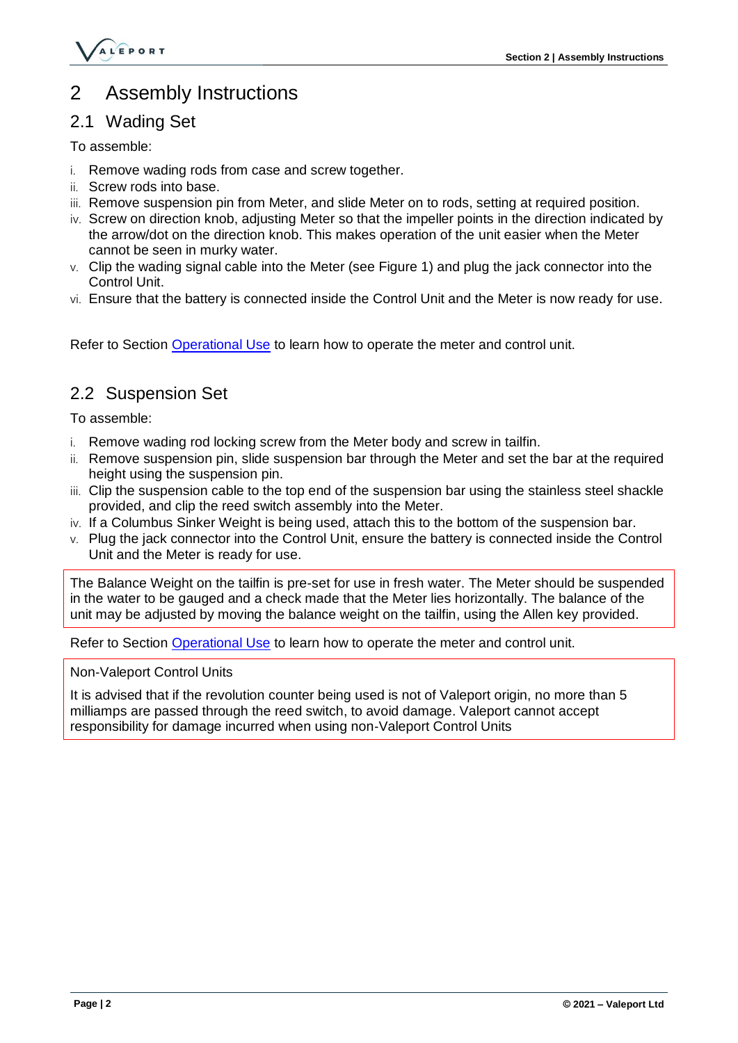

# <span id="page-4-0"></span>2 Assembly Instructions

### <span id="page-4-1"></span>2.1 Wading Set

To assemble:

- i. Remove wading rods from case and screw together.
- ii. Screw rods into base.
- iii. Remove suspension pin from Meter, and slide Meter on to rods, setting at required position.
- iv. Screw on direction knob, adjusting Meter so that the impeller points in the direction indicated by the arrow/dot on the direction knob. This makes operation of the unit easier when the Meter cannot be seen in murky water.
- v. Clip the wading signal cable into the Meter (see Figure 1) and plug the jack connector into the Control Unit.
- vi. Ensure that the battery is connected inside the Control Unit and the Meter is now ready for use.

Refer to Section [Operational Use](#page-3-2) to learn how to operate the meter and control unit.

### <span id="page-4-2"></span>2.2 Suspension Set

To assemble:

- i. Remove wading rod locking screw from the Meter body and screw in tailfin.
- ii. Remove suspension pin, slide suspension bar through the Meter and set the bar at the required height using the suspension pin.
- iii. Clip the suspension cable to the top end of the suspension bar using the stainless steel shackle provided, and clip the reed switch assembly into the Meter.
- iv. If a Columbus Sinker Weight is being used, attach this to the bottom of the suspension bar.
- v. Plug the jack connector into the Control Unit, ensure the battery is connected inside the Control Unit and the Meter is ready for use.

The Balance Weight on the tailfin is pre-set for use in fresh water. The Meter should be suspended in the water to be gauged and a check made that the Meter lies horizontally. The balance of the unit may be adjusted by moving the balance weight on the tailfin, using the Allen key provided.

Refer to Section [Operational Use](#page-3-2) to learn how to operate the meter and control unit.

Non‑Valeport Control Units

It is advised that if the revolution counter being used is not of Valeport origin, no more than 5 milliamps are passed through the reed switch, to avoid damage. Valeport cannot accept responsibility for damage incurred when using non‑Valeport Control Units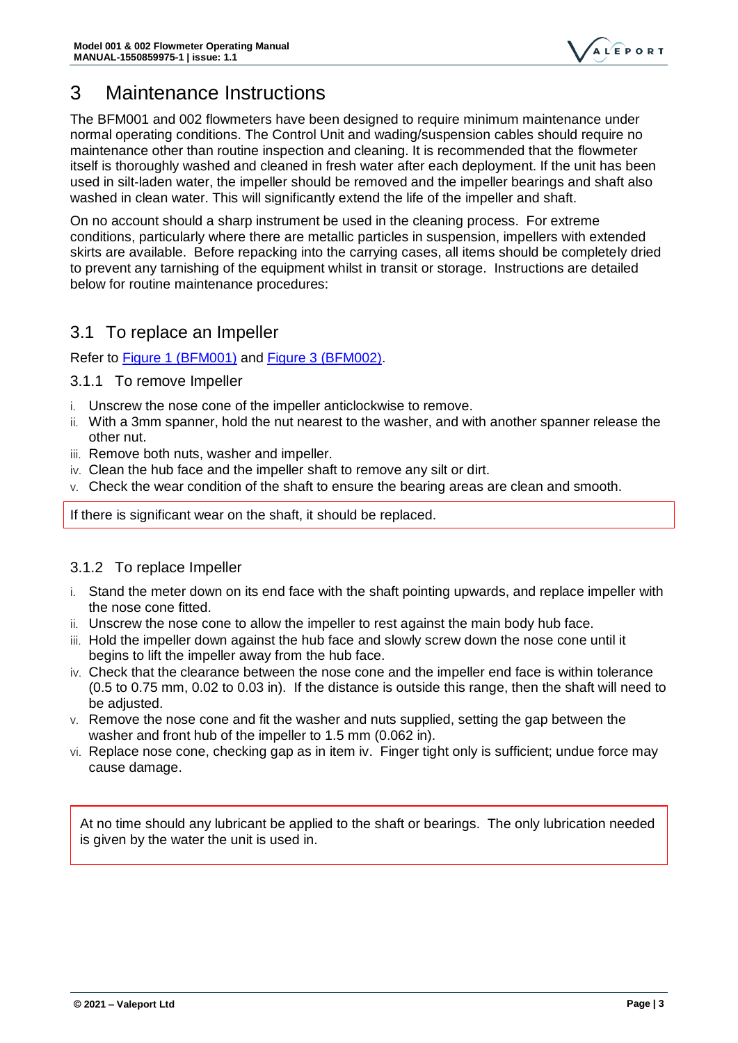

# <span id="page-5-0"></span>3 Maintenance Instructions

The BFM001 and 002 flowmeters have been designed to require minimum maintenance under normal operating conditions. The Control Unit and wading/suspension cables should require no maintenance other than routine inspection and cleaning. It is recommended that the flowmeter itself is thoroughly washed and cleaned in fresh water after each deployment. If the unit has been used in silt-laden water, the impeller should be removed and the impeller bearings and shaft also washed in clean water. This will significantly extend the life of the impeller and shaft.

On no account should a sharp instrument be used in the cleaning process. For extreme conditions, particularly where there are metallic particles in suspension, impellers with extended skirts are available. Before repacking into the carrying cases, all items should be completely dried to prevent any tarnishing of the equipment whilst in transit or storage. Instructions are detailed below for routine maintenance procedures:

### <span id="page-5-1"></span>3.1 To replace an Impeller

Refer to [Figure 1 \(BFM001\)](#page-22-1) and [Figure 3 \(BFM002\).](#page-23-1)

- <span id="page-5-2"></span>3.1.1 To remove Impeller
- i. Unscrew the nose cone of the impeller anticlockwise to remove.
- ii. With a 3mm spanner, hold the nut nearest to the washer, and with another spanner release the other nut.
- iii. Remove both nuts, washer and impeller.
- iv. Clean the hub face and the impeller shaft to remove any silt or dirt.
- v. Check the wear condition of the shaft to ensure the bearing areas are clean and smooth.

If there is significant wear on the shaft, it should be replaced.

### <span id="page-5-3"></span>3.1.2 To replace Impeller

- i. Stand the meter down on its end face with the shaft pointing upwards, and replace impeller with the nose cone fitted.
- ii. Unscrew the nose cone to allow the impeller to rest against the main body hub face.
- iii. Hold the impeller down against the hub face and slowly screw down the nose cone until it begins to lift the impeller away from the hub face.
- iv. Check that the clearance between the nose cone and the impeller end face is within tolerance (0.5 to 0.75 mm, 0.02 to 0.03 in). If the distance is outside this range, then the shaft will need to be adjusted.
- v. Remove the nose cone and fit the washer and nuts supplied, setting the gap between the washer and front hub of the impeller to 1.5 mm (0.062 in).
- vi. Replace nose cone, checking gap as in item iv. Finger tight only is sufficient; undue force may cause damage.

At no time should any lubricant be applied to the shaft or bearings. The only lubrication needed is given by the water the unit is used in.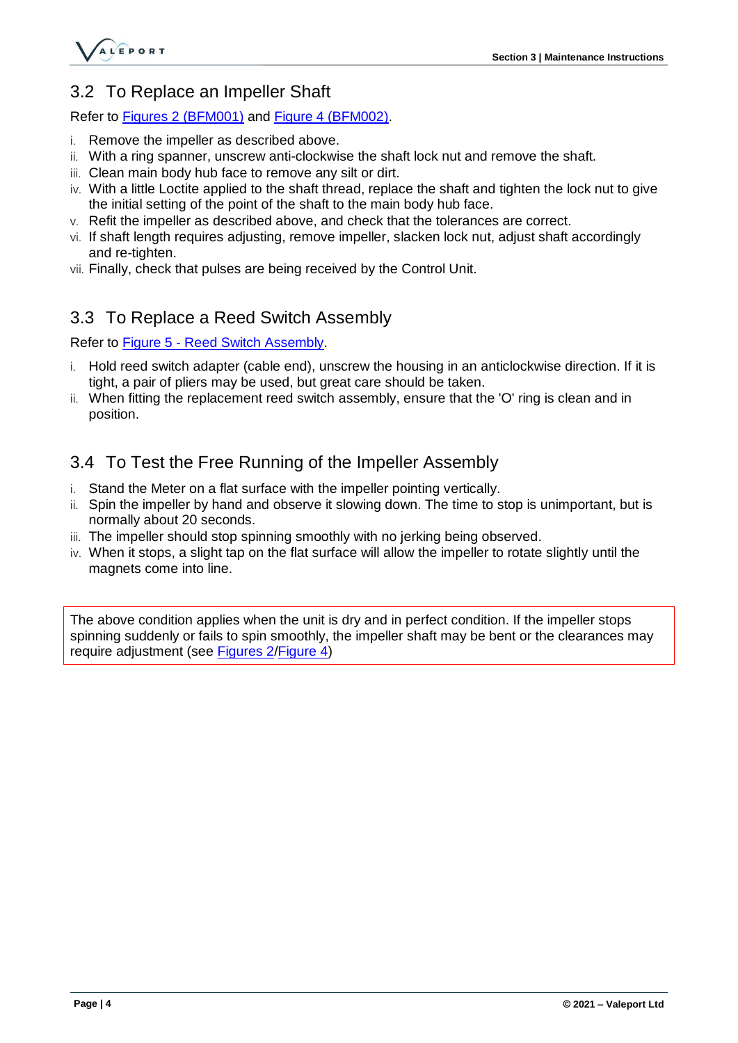

### <span id="page-6-0"></span>3.2 To Replace an Impeller Shaft

#### Refer to [Figures 2 \(BFM001\)](#page-22-2) and [Figure 4 \(BFM002\).](#page-24-1)

- i. Remove the impeller as described above.
- ii. With a ring spanner, unscrew anti-clockwise the shaft lock nut and remove the shaft.
- iii. Clean main body hub face to remove any silt or dirt.
- iv. With a little Loctite applied to the shaft thread, replace the shaft and tighten the lock nut to give the initial setting of the point of the shaft to the main body hub face.
- v. Refit the impeller as described above, and check that the tolerances are correct.
- vi. If shaft length requires adjusting, remove impeller, slacken lock nut, adjust shaft accordingly and re-tighten.
- vii. Finally, check that pulses are being received by the Control Unit.

### <span id="page-6-1"></span>3.3 To Replace a Reed Switch Assembly

#### Refer to Figure 5 - [Reed Switch Assembly.](#page-25-1)

- i. Hold reed switch adapter (cable end), unscrew the housing in an anticlockwise direction. If it is tight, a pair of pliers may be used, but great care should be taken.
- ii. When fitting the replacement reed switch assembly, ensure that the 'O' ring is clean and in position.

### <span id="page-6-2"></span>3.4 To Test the Free Running of the Impeller Assembly

- i. Stand the Meter on a flat surface with the impeller pointing vertically.
- ii. Spin the impeller by hand and observe it slowing down. The time to stop is unimportant, but is normally about 20 seconds.
- iii. The impeller should stop spinning smoothly with no jerking being observed.
- iv. When it stops, a slight tap on the flat surface will allow the impeller to rotate slightly until the magnets come into line.

The above condition applies when the unit is dry and in perfect condition. If the impeller stops spinning suddenly or fails to spin smoothly, the impeller shaft may be bent or the clearances may require adjustment (see [Figures 2](#page-22-2)[/Figure 4\)](#page-24-1)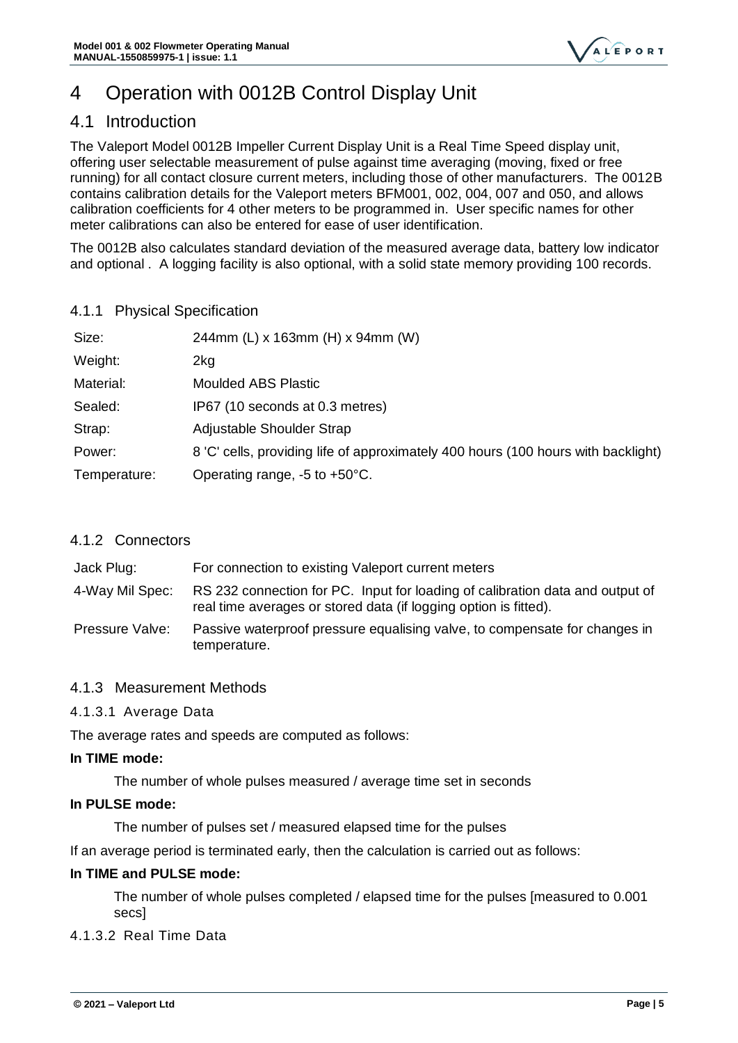

# <span id="page-7-0"></span>4 Operation with 0012B Control Display Unit

### <span id="page-7-1"></span>4.1 Introduction

The Valeport Model 0012B Impeller Current Display Unit is a Real Time Speed display unit, offering user selectable measurement of pulse against time averaging (moving, fixed or free running) for all contact closure current meters, including those of other manufacturers. The 0012B contains calibration details for the Valeport meters BFM001, 002, 004, 007 and 050, and allows calibration coefficients for 4 other meters to be programmed in. User specific names for other meter calibrations can also be entered for ease of user identification.

The 0012B also calculates standard deviation of the measured average data, battery low indicator and optional . A logging facility is also optional, with a solid state memory providing 100 records.

#### <span id="page-7-2"></span>4.1.1 Physical Specification

| Size:        | 244mm (L) x 163mm (H) x 94mm (W)                                                  |
|--------------|-----------------------------------------------------------------------------------|
| Weight:      | 2kg                                                                               |
| Material:    | <b>Moulded ABS Plastic</b>                                                        |
| Sealed:      | IP67 (10 seconds at 0.3 metres)                                                   |
| Strap:       | Adjustable Shoulder Strap                                                         |
| Power:       | 8 'C' cells, providing life of approximately 400 hours (100 hours with backlight) |
| Temperature: | Operating range, $-5$ to $+50^{\circ}$ C.                                         |

### <span id="page-7-3"></span>4.1.2 Connectors

| Jack Plug:      | For connection to existing Valeport current meters                                                                                                |
|-----------------|---------------------------------------------------------------------------------------------------------------------------------------------------|
| 4-Way Mil Spec: | RS 232 connection for PC. Input for loading of calibration data and output of<br>real time averages or stored data (if logging option is fitted). |
| Pressure Valve: | Passive waterproof pressure equalising valve, to compensate for changes in<br>temperature.                                                        |

### <span id="page-7-4"></span>4.1.3 Measurement Methods

### 4.1.3.1 Average Data

The average rates and speeds are computed as follows:

#### **In TIME mode:**

The number of whole pulses measured / average time set in seconds

#### **In PULSE mode:**

The number of pulses set / measured elapsed time for the pulses

If an average period is terminated early, then the calculation is carried out as follows:

#### **In TIME and PULSE mode:**

The number of whole pulses completed / elapsed time for the pulses [measured to 0.001 secs]

#### 4.1.3.2 Real Time Data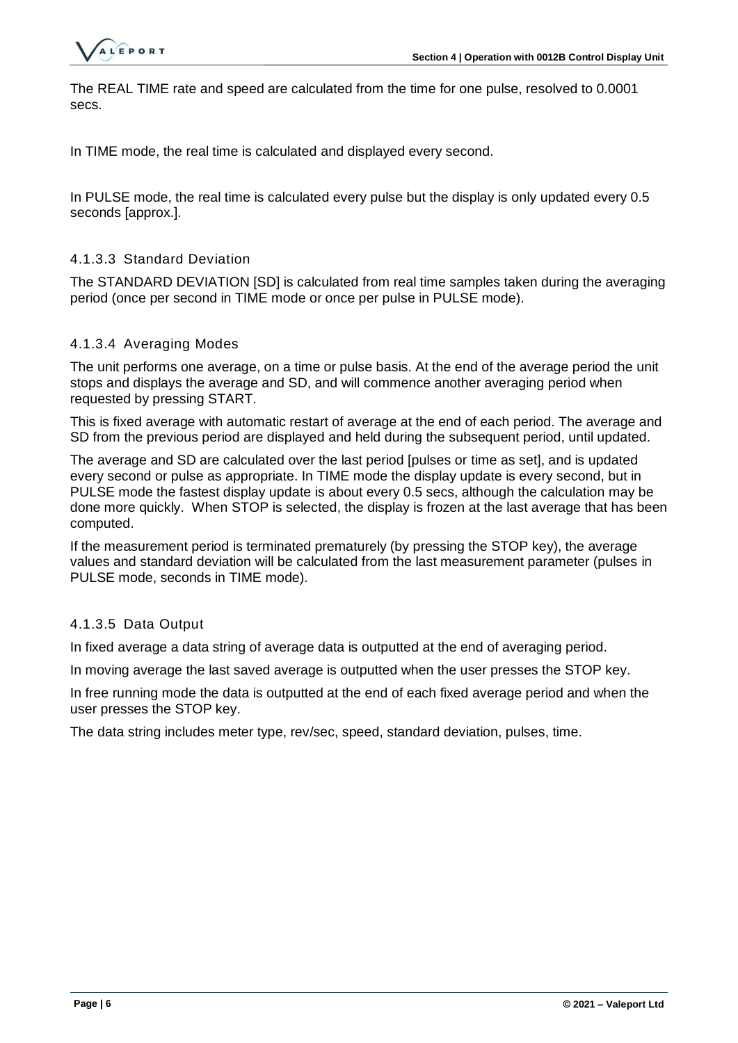

The REAL TIME rate and speed are calculated from the time for one pulse, resolved to 0.0001 secs.

In TIME mode, the real time is calculated and displayed every second.

In PULSE mode, the real time is calculated every pulse but the display is only updated every 0.5 seconds [approx.].

#### 4.1.3.3 Standard Deviation

The STANDARD DEVIATION [SD] is calculated from real time samples taken during the averaging period (once per second in TIME mode or once per pulse in PULSE mode).

#### 4.1.3.4 Averaging Modes

The unit performs one average, on a time or pulse basis. At the end of the average period the unit stops and displays the average and SD, and will commence another averaging period when requested by pressing START.

This is fixed average with automatic restart of average at the end of each period. The average and SD from the previous period are displayed and held during the subsequent period, until updated.

The average and SD are calculated over the last period [pulses or time as set], and is updated every second or pulse as appropriate. In TIME mode the display update is every second, but in PULSE mode the fastest display update is about every 0.5 secs, although the calculation may be done more quickly. When STOP is selected, the display is frozen at the last average that has been computed.

If the measurement period is terminated prematurely (by pressing the STOP key), the average values and standard deviation will be calculated from the last measurement parameter (pulses in PULSE mode, seconds in TIME mode).

#### 4.1.3.5 Data Output

In fixed average a data string of average data is outputted at the end of averaging period.

In moving average the last saved average is outputted when the user presses the STOP key.

In free running mode the data is outputted at the end of each fixed average period and when the user presses the STOP key.

The data string includes meter type, rev/sec, speed, standard deviation, pulses, time.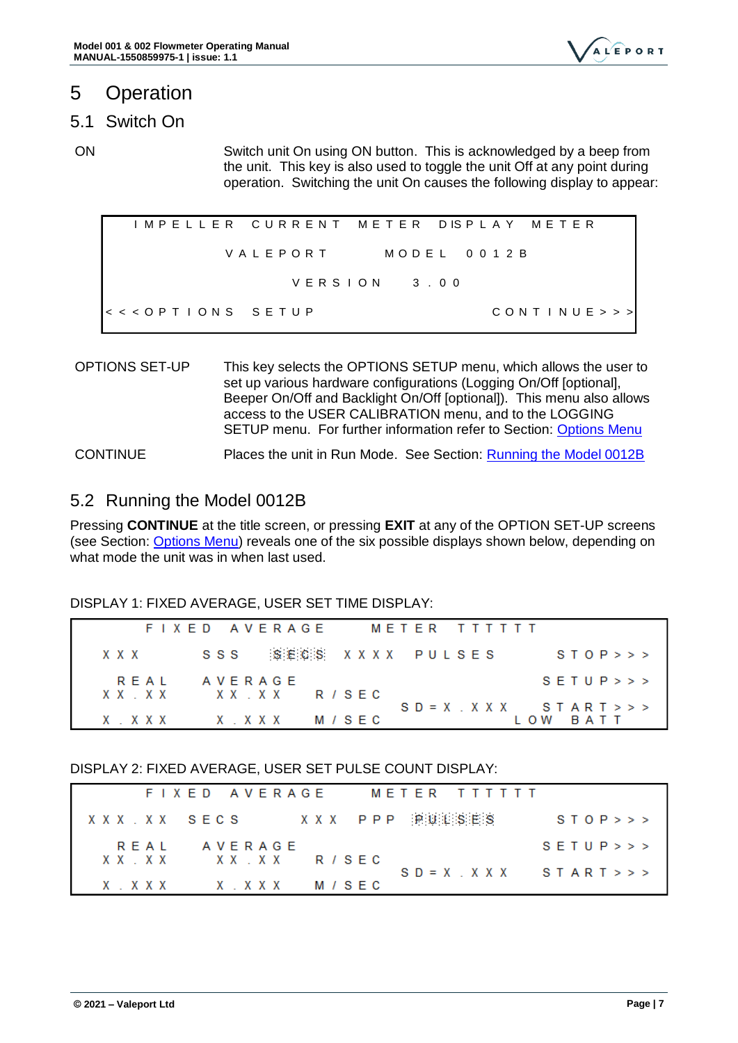

# <span id="page-9-0"></span>5 Operation

### <span id="page-9-1"></span>5.1 Switch On

ON Switch unit On using ON button. This is acknowledged by a beep from the unit. This key is also used to toggle the unit Off at any point during operation. Switching the unit On causes the following display to appear:

I M P E L L E R C U R R E N T M E T E R D IS P L A Y M E T E R V A L E P O R T M O D E L 0 0 1 2 B  $V$  E R S I O N  $3,00$ < < < O P T I O N S S E T U P C O N T I N U E > > >

OPTIONS SET-UP This key selects the OPTIONS SETUP menu, which allows the user to set up various hardware configurations (Logging On/Off [optional], Beeper On/Off and Backlight On/Off [optional]). This menu also allows access to the USER CALIBRATION menu, and to the LOGGING SETUP menu. For further information refer to Section: [Options Menu](#page-12-0) CONTINUE Places the unit in Run Mode. See Section: [Running the Model 0012B](#page-9-2)

### <span id="page-9-2"></span>5.2 Running the Model 0012B

Pressing **CONTINUE** at the title screen, or pressing **EXIT** at any of the OPTION SET-UP screens (see Section: [Options Menu\)](#page-12-0) reveals one of the six possible displays shown below, depending on what mode the unit was in when last used.

### DISPLAY 1: FIXED AVERAGE, USER SET TIME DISPLAY:

|       |      | FIXED AVERAGE        | METER TTTTTT         |                               |
|-------|------|----------------------|----------------------|-------------------------------|
| x x x |      |                      | SSS SECS XXXX PULSES | STOP>>                        |
|       | REAL | AVERAGE              |                      | S E T U P >>                  |
|       |      | XXXX XXXXX RISEC     |                      | $SD = X$ $. X X X$ $START >>$ |
|       |      | $X$ . XXX $X$ . XXXX | M / S E C            | IOW RATT                      |

### DISPLAY 2: FIXED AVERAGE, USER SET PULSE COUNT DISPLAY:

|             |  |      |  |  |  | FIXED AVERAGE     |  |  |  |  |  |                   |  | METER TTTTTT |                            |        |  |  |
|-------------|--|------|--|--|--|-------------------|--|--|--|--|--|-------------------|--|--------------|----------------------------|--------|--|--|
| XXX XX SECS |  |      |  |  |  |                   |  |  |  |  |  | XXX PPP 泡涎泪:S:E:S |  |              |                            | STOP>> |  |  |
|             |  | RFAI |  |  |  | AVERAGE           |  |  |  |  |  |                   |  |              | S E T U P >>               |        |  |  |
|             |  |      |  |  |  | XXXXXXXX RISFC    |  |  |  |  |  |                   |  |              | $SD = X$ , $XXX$ $START>>$ |        |  |  |
|             |  |      |  |  |  | X.XXX X.XXX M/SEC |  |  |  |  |  |                   |  |              |                            |        |  |  |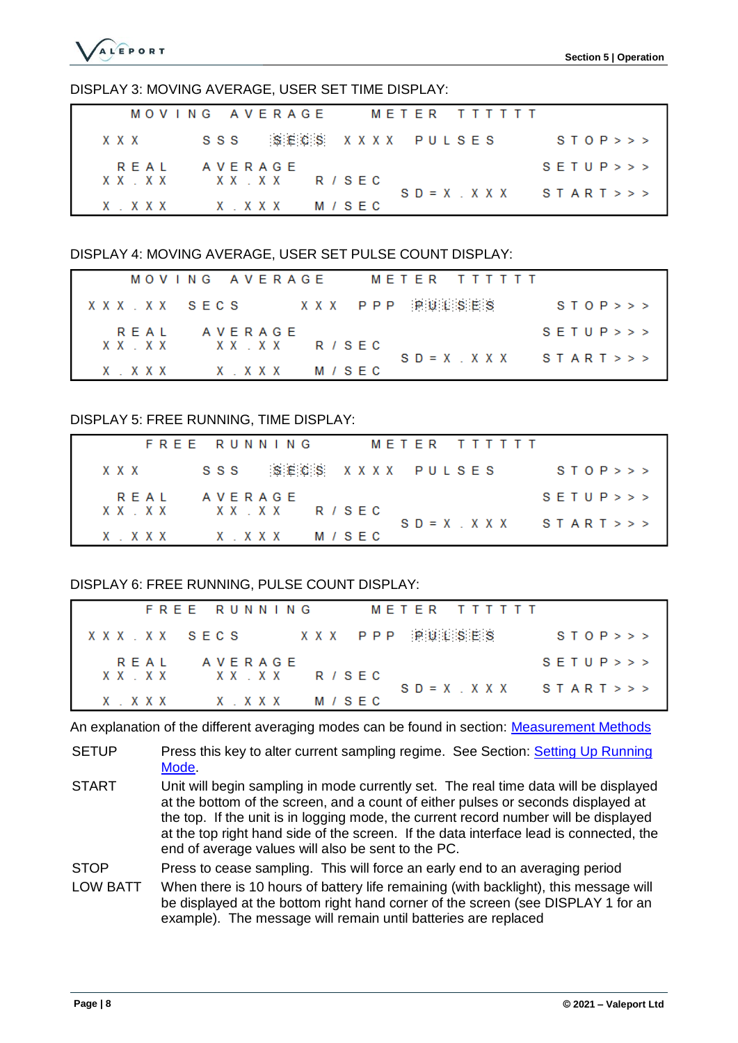

#### DISPLAY 3: MOVING AVERAGE, USER SET TIME DISPLAY:

|  |       |  |  |  |  |  |           | MOVING AVERAGE       |  |           |  |  |  |  |  | METER TTTTTT |                             |  |        |  |
|--|-------|--|--|--|--|--|-----------|----------------------|--|-----------|--|--|--|--|--|--------------|-----------------------------|--|--------|--|
|  | x x x |  |  |  |  |  |           | SSS SECS XXXX PULSES |  |           |  |  |  |  |  |              |                             |  | STOP>> |  |
|  | REAL  |  |  |  |  |  | AVERAGE   | XXXX XXXXX RISEC     |  |           |  |  |  |  |  |              | S E T U P >>                |  |        |  |
|  |       |  |  |  |  |  |           |                      |  |           |  |  |  |  |  |              | $SD = X$ , $XXX$ $START >>$ |  |        |  |
|  |       |  |  |  |  |  | XXXX XXXX |                      |  | M / S E C |  |  |  |  |  |              |                             |  |        |  |

#### DISPLAY 4: MOVING AVERAGE, USER SET PULSE COUNT DISPLAY:

|  |      |  |  |  |  | MOVING AVERAGE    |  |  |  |  |  |  | METER TTTTTT              |                            |
|--|------|--|--|--|--|-------------------|--|--|--|--|--|--|---------------------------|----------------------------|
|  |      |  |  |  |  |                   |  |  |  |  |  |  | XXX XX SECS XXX PPP 澳澳港湾部 | STOP>>                     |
|  | RFAI |  |  |  |  | AVERAGE           |  |  |  |  |  |  |                           | S E T U P >>               |
|  |      |  |  |  |  | XXXXXXXX RISFC    |  |  |  |  |  |  |                           | $SD = X$ , $XXX$ $START>>$ |
|  |      |  |  |  |  | X.XXX X.XXX M/SEC |  |  |  |  |  |  |                           |                            |

#### DISPLAY 5: FREE RUNNING, TIME DISPLAY:

|                  | FREE RUNNING | METER TTTTTT         |                            |
|------------------|--------------|----------------------|----------------------------|
| x x x            |              | SSS SECS XXXX PULSES | STOP>>                     |
| RFAI             | AVERAGE      |                      | S E T U P >>               |
| XXXX XXXXX RISEC |              |                      | $SD = X$ , $XXX$ $START>>$ |
|                  |              | M / S F C            |                            |

#### DISPLAY 6: FREE RUNNING, PULSE COUNT DISPLAY:

|             |                |  | FREE RUNNING |  |  |               |  |  |  |         |  |  | METER TITTTT   |                            |
|-------------|----------------|--|--------------|--|--|---------------|--|--|--|---------|--|--|----------------|----------------------------|
| XXX.XX SECS |                |  |              |  |  |               |  |  |  |         |  |  | XXX PPP 溶凝油S油S | STOP>>                     |
|             | REAL           |  |              |  |  | A V E R A G E |  |  |  |         |  |  |                | S E T U P >>               |
|             | XXXXXXXX RISFC |  |              |  |  |               |  |  |  |         |  |  |                | $SD = X$ , $XXX$ $START>>$ |
|             | XXXX XXX       |  |              |  |  |               |  |  |  | M / SEC |  |  |                |                            |

An explanation of the different averaging modes can be found in section: [Measurement Methods](#page-7-4)

- SETUP Press this key to alter current sampling regime. See Section: Setting Up Running [Mode.](#page-11-0)
- START Unit will begin sampling in mode currently set. The real time data will be displayed at the bottom of the screen, and a count of either pulses or seconds displayed at the top. If the unit is in logging mode, the current record number will be displayed at the top right hand side of the screen. If the data interface lead is connected, the end of average values will also be sent to the PC.

STOP Press to cease sampling. This will force an early end to an averaging period

LOW BATT When there is 10 hours of battery life remaining (with backlight), this message will be displayed at the bottom right hand corner of the screen (see DISPLAY 1 for an example). The message will remain until batteries are replaced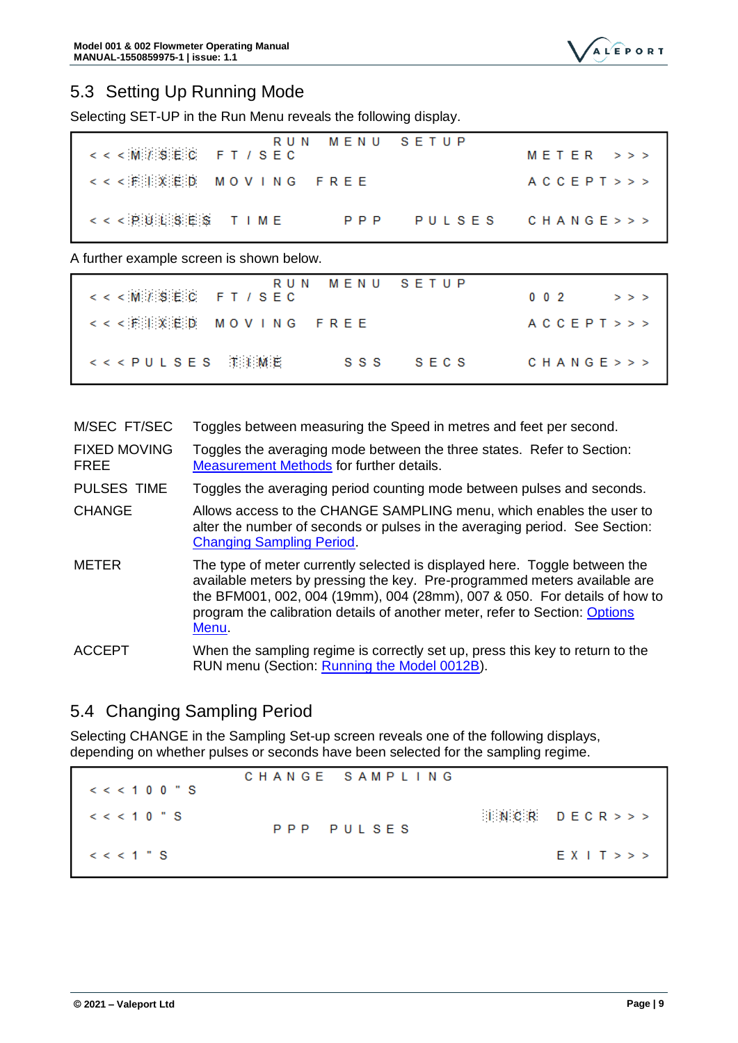

### <span id="page-11-0"></span>5.3 Setting Up Running Mode

Selecting SET-UP in the Run Menu reveals the following display.

| <<< M / SEC FT / SEC                     | RUN MENU SETUP | $M$ FTFR $>>$         |
|------------------------------------------|----------------|-----------------------|
| <<<润泪溪汇DD MOVING FREE                    |                | A C C E P T $>$ > $>$ |
| <<< 擦睡泪: \$ # # \$ T I M E               | P P P          | PULSES CHANGE>>>      |
| A further example screen is shown below. |                |                       |

| RUN MENU SETUP<br><<< M / SEC FT / SEC | $0.0.2$ $>>$               |
|----------------------------------------|----------------------------|
| <<<澎湖溪泊10 MOVING FREE                  | $ACC$ $E$ $P$ $T$ $>>$ $>$ |
| $<<$ PULSES THEME                      | SSS SECS<br>CHANGE >>      |

| M/SEC FT/SEC | Toggles between measuring the Speed in metres and feet per second. |  |  |  |
|--------------|--------------------------------------------------------------------|--|--|--|
|              |                                                                    |  |  |  |

FIXED MOVING FREE Toggles the averaging mode between the three states. Refer to Section: [Measurement Methods](#page-7-4) for further details.

PULSES TIME Toggles the averaging period counting mode between pulses and seconds.

CHANGE Allows access to the CHANGE SAMPLING menu, which enables the user to alter the number of seconds or pulses in the averaging period. See Section: [Changing Sampling Period.](#page-11-1)

METER The type of meter currently selected is displayed here. Toggle between the available meters by pressing the key. Pre-programmed meters available are the BFM001, 002, 004 (19mm), 004 (28mm), 007 & 050. For details of how to program the calibration details of another meter, refer to Section: [Options](#page-12-0)  [Menu.](#page-12-0)

ACCEPT When the sampling regime is correctly set up, press this key to return to the RUN menu (Section: [Running the Model 0012B\)](#page-9-2).

# <span id="page-11-1"></span>5.4 Changing Sampling Period

Selecting CHANGE in the Sampling Set-up screen reveals one of the following displays, depending on whether pulses or seconds have been selected for the sampling regime.

CHANGE SAMPLING  $<< 100$  " S  $D E C R >>$  $<< < 10$  " S **INCR** PULSES PPP  $<< < 1$  " S  $EX I T >>$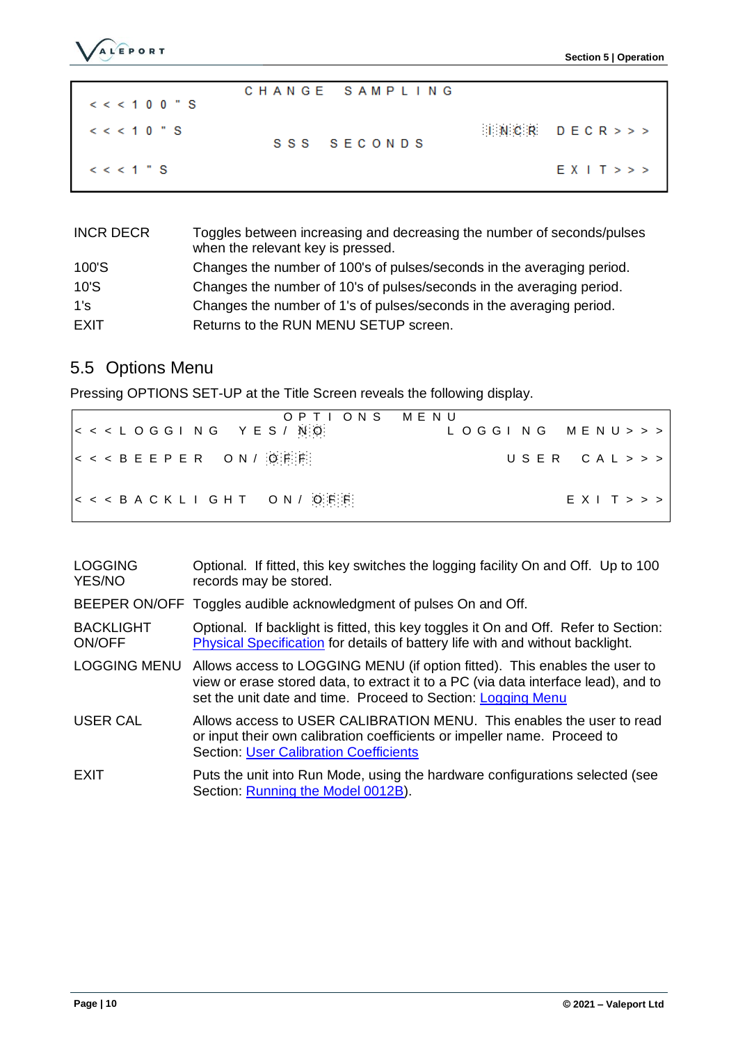

| $<< < 100$ " S       | CHANGE SAMPLING |                                                     |
|----------------------|-----------------|-----------------------------------------------------|
| $\leq$ $\leq$ 10 " S | SSS SFCONDS     | $\mathbb{H}[\mathbb{N}] \subset \mathbb{R}$ DECR>>> |
| $\leq$ $\leq$ 1 " S  |                 | $EX I$ $>>$                                         |

| <b>INCR DECR</b> | Toggles between increasing and decreasing the number of seconds/pulses<br>when the relevant key is pressed. |
|------------------|-------------------------------------------------------------------------------------------------------------|
| 100'S            | Changes the number of 100's of pulses/seconds in the averaging period.                                      |
| 10'S             | Changes the number of 10's of pulses/seconds in the averaging period.                                       |
| 1's              | Changes the number of 1's of pulses/seconds in the averaging period.                                        |
| EXIT             | Returns to the RUN MENU SETUP screen.                                                                       |

# <span id="page-12-0"></span>5.5 Options Menu

Pressing OPTIONS SET-UP at the Title Screen reveals the following display.

| OPTIONS MENU<br>$ <$ < < LOGGING YES / NO    | LOGGING MENU>>> |
|----------------------------------------------|-----------------|
| $ <$ < < BEEPER ON / $[0,1]$                 | USER CAL>>>     |
| $ <$ < $<$ B A C K L I G H T O N / Q F $ E $ | $EXI$ T $>>$    |

| <b>LOGGING</b><br>YES/NO          | Optional. If fitted, this key switches the logging facility On and Off. Up to 100<br>records may be stored.                                                                                                                      |
|-----------------------------------|----------------------------------------------------------------------------------------------------------------------------------------------------------------------------------------------------------------------------------|
|                                   | BEEPER ON/OFF Toggles audible acknowledgment of pulses On and Off.                                                                                                                                                               |
| <b>BACKLIGHT</b><br><b>ON/OFF</b> | Optional. If backlight is fitted, this key toggles it On and Off. Refer to Section:<br><b>Physical Specification</b> for details of battery life with and without backlight.                                                     |
| <b>LOGGING MENU</b>               | Allows access to LOGGING MENU (if option fitted). This enables the user to<br>view or erase stored data, to extract it to a PC (via data interface lead), and to<br>set the unit date and time. Proceed to Section: Logging Menu |
| <b>USER CAL</b>                   | Allows access to USER CALIBRATION MENU. This enables the user to read<br>or input their own calibration coefficients or impeller name. Proceed to<br><b>Section: User Calibration Coefficients</b>                               |
| EXIT                              | Puts the unit into Run Mode, using the hardware configurations selected (see<br>Section: Running the Model 0012B).                                                                                                               |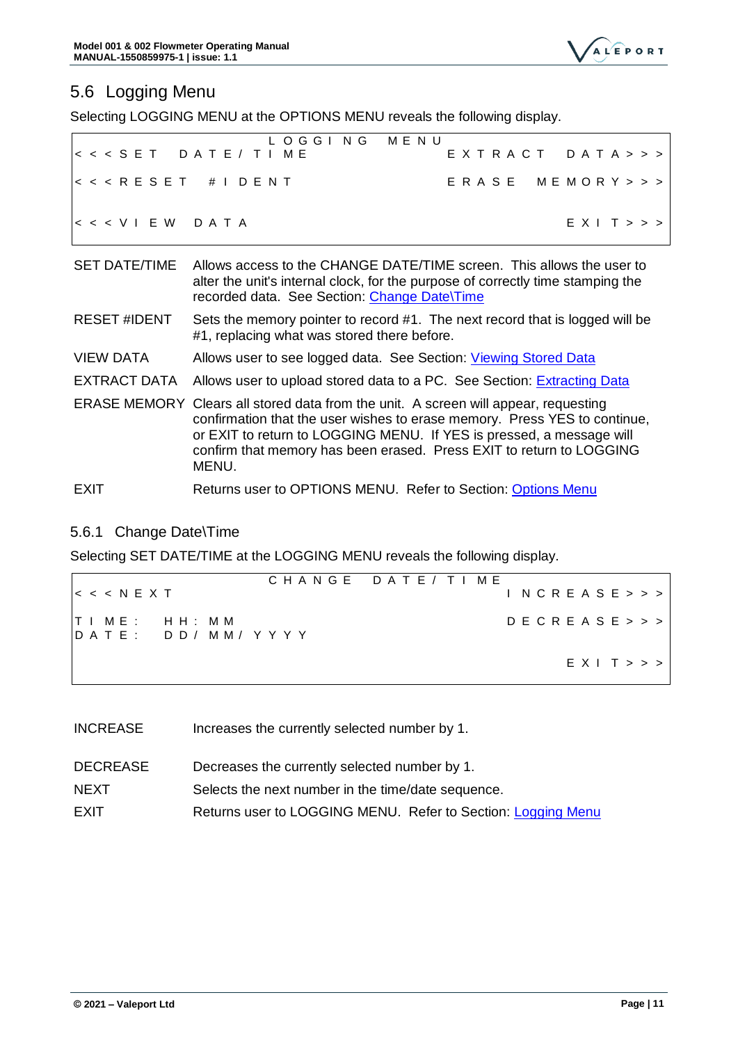

# <span id="page-13-0"></span>5.6 Logging Menu

Selecting LOGGING MENU at the OPTIONS MENU reveals the following display.

|                                | <b>MENU</b><br>L O G G I N G                                                                                                                                                                             |
|--------------------------------|----------------------------------------------------------------------------------------------------------------------------------------------------------------------------------------------------------|
|                                | < < < S E T D A T E / T I M E<br>EXTRACT DATA>>>                                                                                                                                                         |
| << <b>RESET</b> # <b>IDENT</b> | ERASE MEMORY>>>                                                                                                                                                                                          |
| $<<$ VIEW DATA                 | E X I T >>                                                                                                                                                                                               |
| <b>SET DATE/TIME</b>           | Allows access to the CHANGE DATE/TIME screen. This allows the user to<br>alter the unit's internal clock, for the purpose of correctly time stamping the<br>recorded data. See Section: Change Date\Time |
| <b>RESET #IDENT</b>            | Sets the memory pointer to record #1. The next record that is logged will be<br>#1, replacing what was stored there before.                                                                              |
| <b>VIEW DATA</b>               | Allows user to see logged data. See Section: Viewing Stored Data                                                                                                                                         |
|                                | EXTRACT DATA Allows user to upload stored data to a PC. See Section: Extracting Data                                                                                                                     |
|                                | ERASE MEMORY Clears all stored data from the unit. A screen will appear, requesting<br>confirmation that the user wishes to erase memory. Press YES to continue,                                         |

or EXIT to return to LOGGING MENU. If YES is pressed, a message will confirm that memory has been erased. Press EXIT to return to LOGGING MENU.

#### EXIT Returns user to OPTIONS MENU. Refer to Section: [Options Menu](#page-12-0)

### <span id="page-13-1"></span>5.6.1 Change Date\Time

Selecting SET DATE/TIME at the LOGGING MENU reveals the following display.

|  |  |                                                     |  |  |  |  |  |  | CHANGE DATE/TIME |  |  |  |  |  |  |  |  |            |
|--|--|-----------------------------------------------------|--|--|--|--|--|--|------------------|--|--|--|--|--|--|--|--|------------|
|  |  | $\vert < \vert < \vert < \vert N \vert$ F X T       |  |  |  |  |  |  |                  |  |  |  |  |  |  |  |  | NCREASE>>  |
|  |  | TIME:HH:MM<br>$ D \land T E $ : $D D / M M / Y Y Y$ |  |  |  |  |  |  |                  |  |  |  |  |  |  |  |  | DECREASE>> |
|  |  |                                                     |  |  |  |  |  |  |                  |  |  |  |  |  |  |  |  | E X I T >> |

- INCREASE Increases the currently selected number by 1.
- DECREASE Decreases the currently selected number by 1.
- NEXT Selects the next number in the time/date sequence.
- <span id="page-13-2"></span>EXIT Returns user to LOGGING MENU. Refer to Section: [Logging Menu](#page-13-0)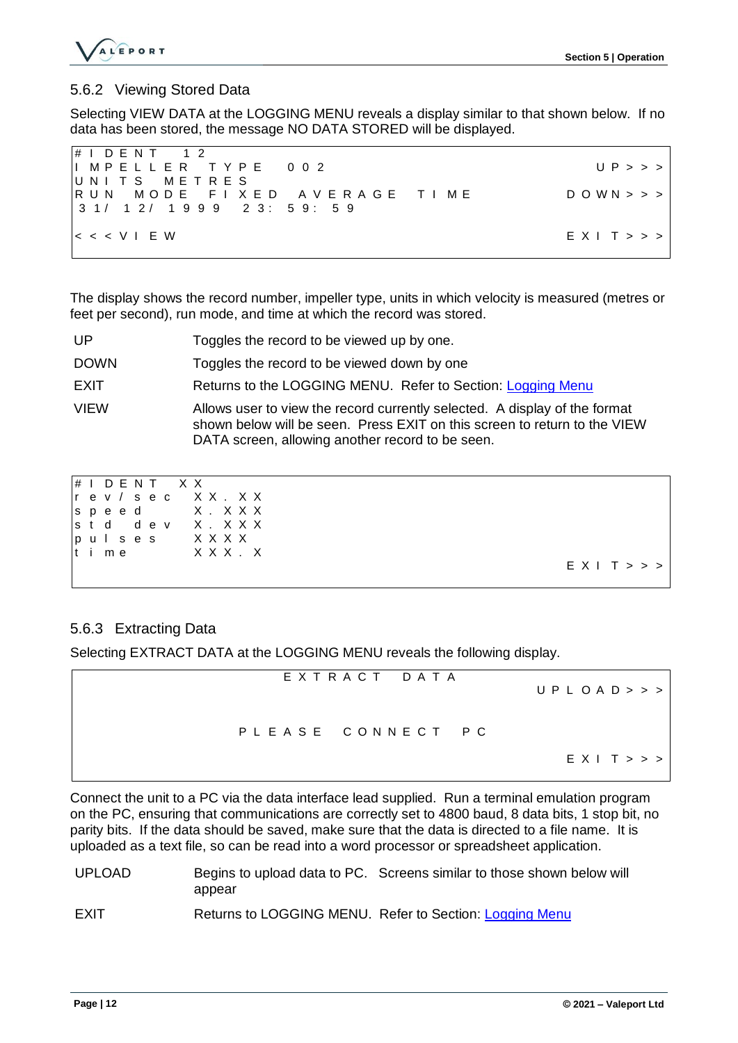

### <span id="page-14-0"></span>5.6.2 Viewing Stored Data

Selecting VIEW DATA at the LOGGING MENU reveals a display similar to that shown below. If no data has been stored, the message NO DATA STORED will be displayed.

| $\sharp$ IDENT 12                                         |                               |
|-----------------------------------------------------------|-------------------------------|
| IIMPELLER TYPE 002                                        | UP >> >                       |
| UNITS METRES                                              |                               |
| IRUN MODE FIXED AVERAGE TIME                              | $D$ O W N $>$ $>$ $>$ $\vert$ |
|                                                           |                               |
|                                                           |                               |
| $ <$ < < $\vee$ $\vee$ $\vee$ $\vee$ $\vee$ $\vee$ $\vee$ | E X I T >>                    |
|                                                           |                               |

The display shows the record number, impeller type, units in which velocity is measured (metres or feet per second), run mode, and time at which the record was stored.

- UP Toggles the record to be viewed up by one.
- DOWN Toggles the record to be viewed down by one
- EXIT Returns to the LOGGING MENU. Refer to Section: [Logging Menu](#page-13-0)
- VIEW Allows user to view the record currently selected. A display of the format shown below will be seen. Press EXIT on this screen to return to the VIEW DATA screen, allowing another record to be seen.

|  | $\sharp$ IDENT XX           |  |  |  |  |                                   |
|--|-----------------------------|--|--|--|--|-----------------------------------|
|  |                             |  |  |  |  | $ r $ ev / sec XX.XX              |
|  |                             |  |  |  |  | $ s $ peed X.XXX                  |
|  |                             |  |  |  |  | $\vert$ std dev X.XXX             |
|  | $ p u $ ses $X$ $X$ $X$ $X$ |  |  |  |  |                                   |
|  |                             |  |  |  |  | $\vert t \vert$ ime $\vert$ XXX.X |
|  |                             |  |  |  |  |                                   |
|  |                             |  |  |  |  |                                   |

### <span id="page-14-1"></span>5.6.3 Extracting Data

Selecting EXTRACT DATA at the LOGGING MENU reveals the following display.

| EXTRACT DATA      | UPLOAD >>  |
|-------------------|------------|
| PLEASE CONNECT PC |            |
|                   | E X I T >> |

Connect the unit to a PC via the data interface lead supplied. Run a terminal emulation program on the PC, ensuring that communications are correctly set to 4800 baud, 8 data bits, 1 stop bit, no parity bits. If the data should be saved, make sure that the data is directed to a file name. It is uploaded as a text file, so can be read into a word processor or spreadsheet application.

- UPLOAD Begins to upload data to PC. Screens similar to those shown below will appear
- EXIT Returns to LOGGING MENU. Refer to Section: [Logging Menu](#page-13-0)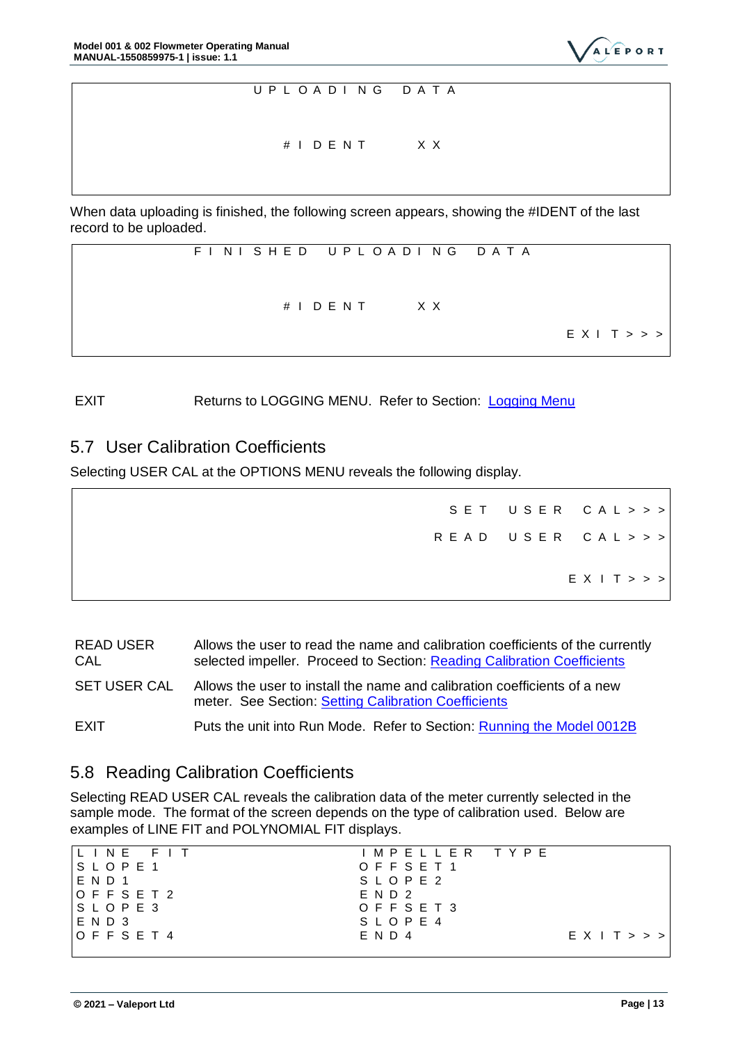



When data uploading is finished, the following screen appears, showing the #IDENT of the last record to be uploaded.



EXIT Returns to LOGGING MENU. Refer to Section: [Logging Menu](#page-13-0)

### <span id="page-15-0"></span>5.7 User Calibration Coefficients

Selecting USER CAL at the OPTIONS MENU reveals the following display.

|  | SET USER CAL>>>  |
|--|------------------|
|  | READ USER CAL>>> |
|  | E X   T >>       |

| <b>READ USER</b><br>CAL | Allows the user to read the name and calibration coefficients of the currently<br>selected impeller. Proceed to Section: Reading Calibration Coefficients |
|-------------------------|-----------------------------------------------------------------------------------------------------------------------------------------------------------|
| <b>SET USER CAL</b>     | Allows the user to install the name and calibration coefficients of a new<br>meter. See Section: Setting Calibration Coefficients                         |
| EXIT                    | Puts the unit into Run Mode. Refer to Section: Running the Model 0012B                                                                                    |

### <span id="page-15-1"></span>5.8 Reading Calibration Coefficients

Selecting READ USER CAL reveals the calibration data of the meter currently selected in the sample mode. The format of the screen depends on the type of calibration used. Below are examples of LINE FIT and POLYNOMIAL FIT displays.

| ILINE FIT               | IMPELLER TYPE |            |
|-------------------------|---------------|------------|
| $S$ $L$ $O$ $P$ $E$ $1$ | OFFSET1       |            |
| <b>END1</b>             | S L O P E 2   |            |
| $O$ F F S E T 2         | E N D 2       |            |
| $ S $ $O$ $P$ $E$ $3$   | OFFSET3       |            |
| IEND3                   | SLOPE 4       |            |
| $IO$ F F S E T 4        | $E$ N D 4     | E X   T >> |
|                         |               |            |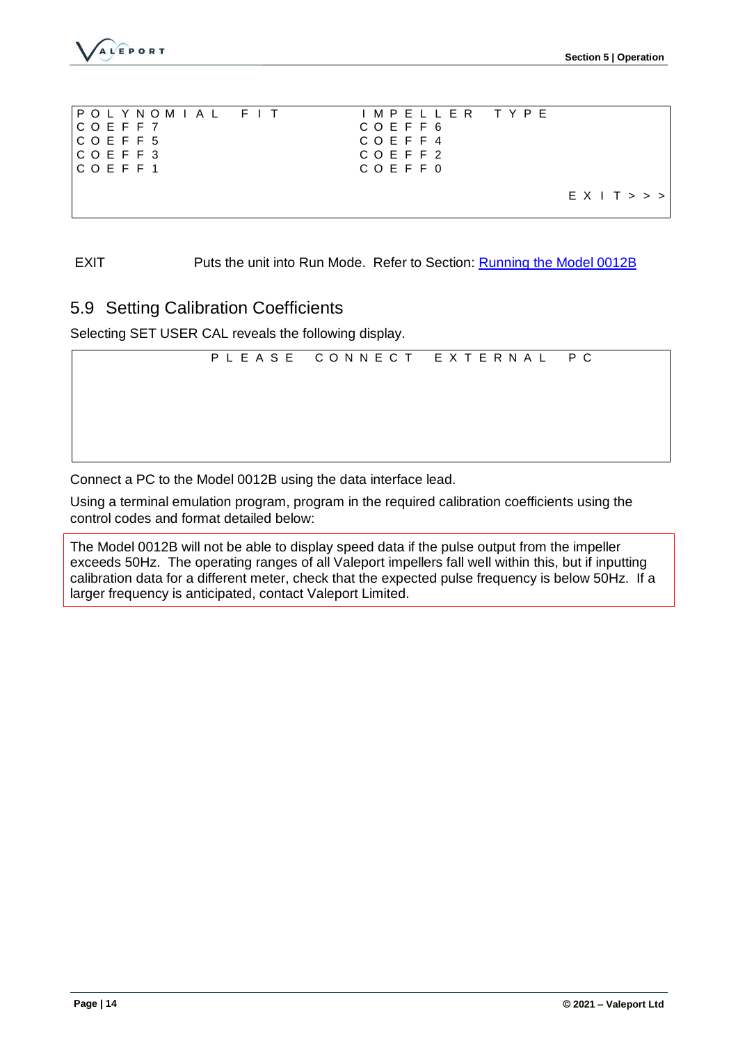

| IPOLYNOMIAL FIT                                                                                                                                                   | IMPELLER TYPE |           |
|-------------------------------------------------------------------------------------------------------------------------------------------------------------------|---------------|-----------|
| ICOEFF7                                                                                                                                                           | COEFF6        |           |
| $ C$ O E F F 5                                                                                                                                                    | COEFF4        |           |
| $\mathsf{CCO}\xspace$ $\mathsf{C}\xspace$ $\mathsf{C}\xspace$ $\mathsf{D}\xspace$ $\mathsf{E}\xspace$ $\mathsf{F}\xspace$ $\mathsf{F}\xspace$ $\mathsf{3}\xspace$ | COEFF2        |           |
| $ C$ $O$ $E$ $F$ $f$ 1                                                                                                                                            | COEFF0        |           |
|                                                                                                                                                                   |               |           |
|                                                                                                                                                                   |               | EX I T >> |
|                                                                                                                                                                   |               |           |

EXIT Puts the unit into Run Mode. Refer to Section: [Running the Model 0012B](#page-9-2)

### <span id="page-16-0"></span>5.9 Setting Calibration Coefficients

Selecting SET USER CAL reveals the following display.

|  | PLEASE CONNECT EXTERNAL PC |  |
|--|----------------------------|--|
|  |                            |  |
|  |                            |  |
|  |                            |  |
|  |                            |  |

Connect a PC to the Model 0012B using the data interface lead.

Using a terminal emulation program, program in the required calibration coefficients using the control codes and format detailed below:

The Model 0012B will not be able to display speed data if the pulse output from the impeller exceeds 50Hz. The operating ranges of all Valeport impellers fall well within this, but if inputting calibration data for a different meter, check that the expected pulse frequency is below 50Hz. If a larger frequency is anticipated, contact Valeport Limited.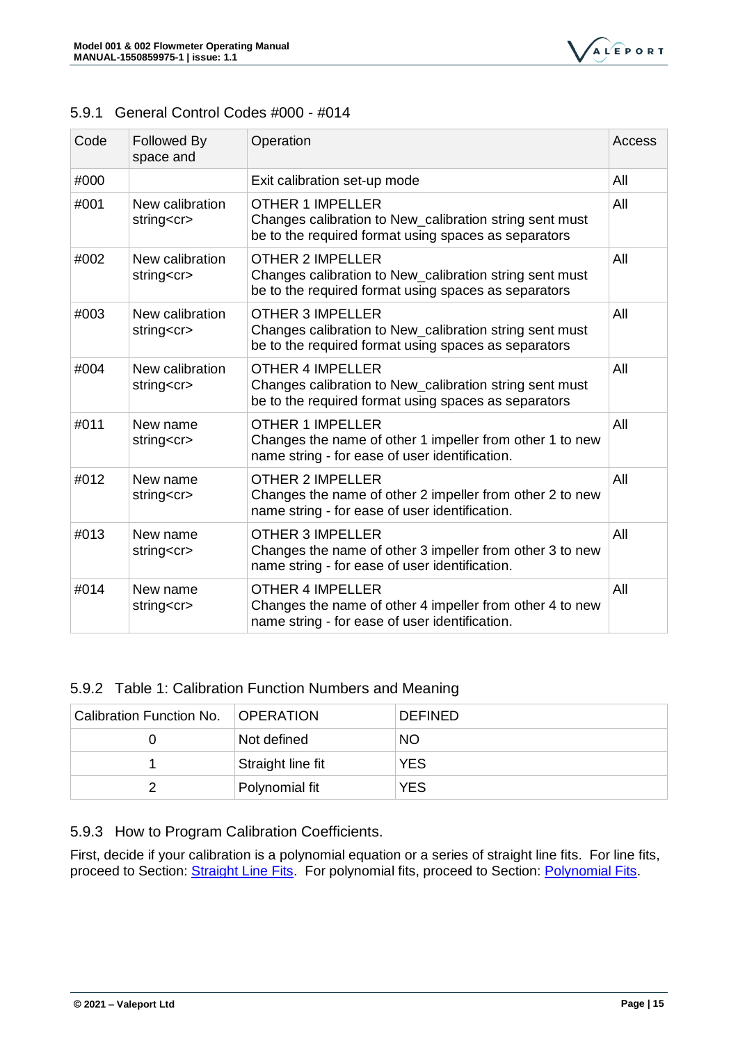

### <span id="page-17-0"></span>5.9.1 General Control Codes #000 - #014

| Code | <b>Followed By</b><br>space and     | Operation                                                                                                                                  | Access |
|------|-------------------------------------|--------------------------------------------------------------------------------------------------------------------------------------------|--------|
| #000 |                                     | Exit calibration set-up mode                                                                                                               | All    |
| #001 | New calibration<br>string <cr></cr> | <b>OTHER 1 IMPELLER</b><br>Changes calibration to New_calibration string sent must<br>be to the required format using spaces as separators | All    |
| #002 | New calibration<br>string <cr></cr> | <b>OTHER 2 IMPELLER</b><br>Changes calibration to New_calibration string sent must<br>be to the required format using spaces as separators | All    |
| #003 | New calibration<br>string <cr></cr> | <b>OTHER 3 IMPELLER</b><br>Changes calibration to New_calibration string sent must<br>be to the required format using spaces as separators | All    |
| #004 | New calibration<br>string <cr></cr> | <b>OTHER 4 IMPELLER</b><br>Changes calibration to New_calibration string sent must<br>be to the required format using spaces as separators | All    |
| #011 | New name<br>string <cr></cr>        | <b>OTHER 1 IMPELLER</b><br>Changes the name of other 1 impeller from other 1 to new<br>name string - for ease of user identification.      | All    |
| #012 | New name<br>string <cr></cr>        | <b>OTHER 2 IMPELLER</b><br>Changes the name of other 2 impeller from other 2 to new<br>name string - for ease of user identification.      | All    |
| #013 | New name<br>string <cr></cr>        | <b>OTHER 3 IMPELLER</b><br>Changes the name of other 3 impeller from other 3 to new<br>name string - for ease of user identification.      | All    |
| #014 | New name<br>string <cr></cr>        | <b>OTHER 4 IMPELLER</b><br>Changes the name of other 4 impeller from other 4 to new<br>name string - for ease of user identification.      | All    |

### <span id="page-17-1"></span>5.9.2 Table 1: Calibration Function Numbers and Meaning

| Calibration Function No. | <b>OPERATION</b>  | <b>DEFINED</b> |
|--------------------------|-------------------|----------------|
|                          | Not defined       | <b>NO</b>      |
|                          | Straight line fit | <b>YES</b>     |
|                          | Polynomial fit    | <b>YES</b>     |

<span id="page-17-2"></span>5.9.3 How to Program Calibration Coefficients.

<span id="page-17-3"></span>First, decide if your calibration is a polynomial equation or a series of straight line fits. For line fits, proceed to Section: **Straight Line Fits.** For polynomial fits, proceed to Section: **Polynomial Fits.**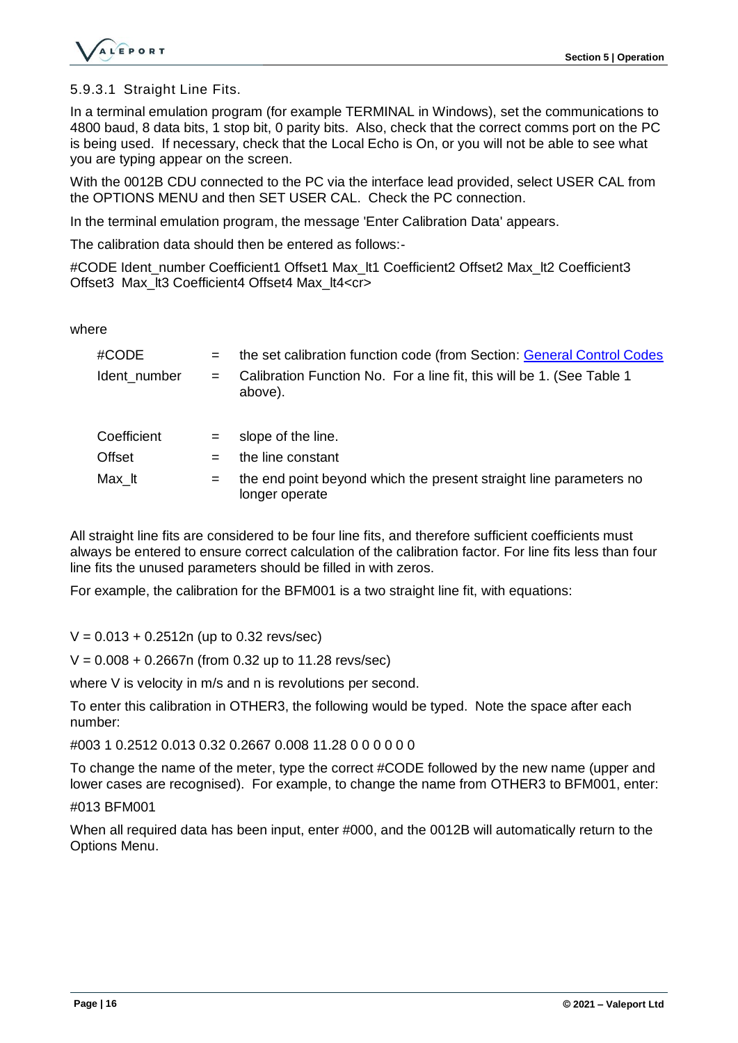

5.9.3.1 Straight Line Fits.

In a terminal emulation program (for example TERMINAL in Windows), set the communications to 4800 baud, 8 data bits, 1 stop bit, 0 parity bits. Also, check that the correct comms port on the PC is being used. If necessary, check that the Local Echo is On, or you will not be able to see what you are typing appear on the screen.

With the 0012B CDU connected to the PC via the interface lead provided, select USER CAL from the OPTIONS MENU and then SET USER CAL. Check the PC connection.

In the terminal emulation program, the message 'Enter Calibration Data' appears.

The calibration data should then be entered as follows:-

#CODE Ident\_number Coefficient1 Offset1 Max\_lt1 Coefficient2 Offset2 Max\_lt2 Coefficient3 Offset3 Max It3 Coefficient4 Offset4 Max It4<cr>

where

| #CODE         | $=$ | the set calibration function code (from Section: General Control Codes               |
|---------------|-----|--------------------------------------------------------------------------------------|
| Ident number  | $=$ | Calibration Function No. For a line fit, this will be 1. (See Table 1)<br>above).    |
| Coefficient   | $=$ | slope of the line.                                                                   |
| <b>Offset</b> | $=$ | the line constant                                                                    |
| Max It        | $=$ | the end point beyond which the present straight line parameters no<br>longer operate |

All straight line fits are considered to be four line fits, and therefore sufficient coefficients must always be entered to ensure correct calculation of the calibration factor. For line fits less than four line fits the unused parameters should be filled in with zeros.

For example, the calibration for the BFM001 is a two straight line fit, with equations:

 $V = 0.013 + 0.2512n$  (up to 0.32 revs/sec)

 $V = 0.008 + 0.2667$ n (from 0.32 up to 11.28 revs/sec)

where V is velocity in m/s and n is revolutions per second.

To enter this calibration in OTHER3, the following would be typed. Note the space after each number:

#003 1 0.2512 0.013 0.32 0.2667 0.008 11.28 0 0 0 0 0 0

To change the name of the meter, type the correct #CODE followed by the new name (upper and lower cases are recognised). For example, to change the name from OTHER3 to BFM001, enter:

#013 BFM001

<span id="page-18-0"></span>When all required data has been input, enter #000, and the 0012B will automatically return to the Options Menu.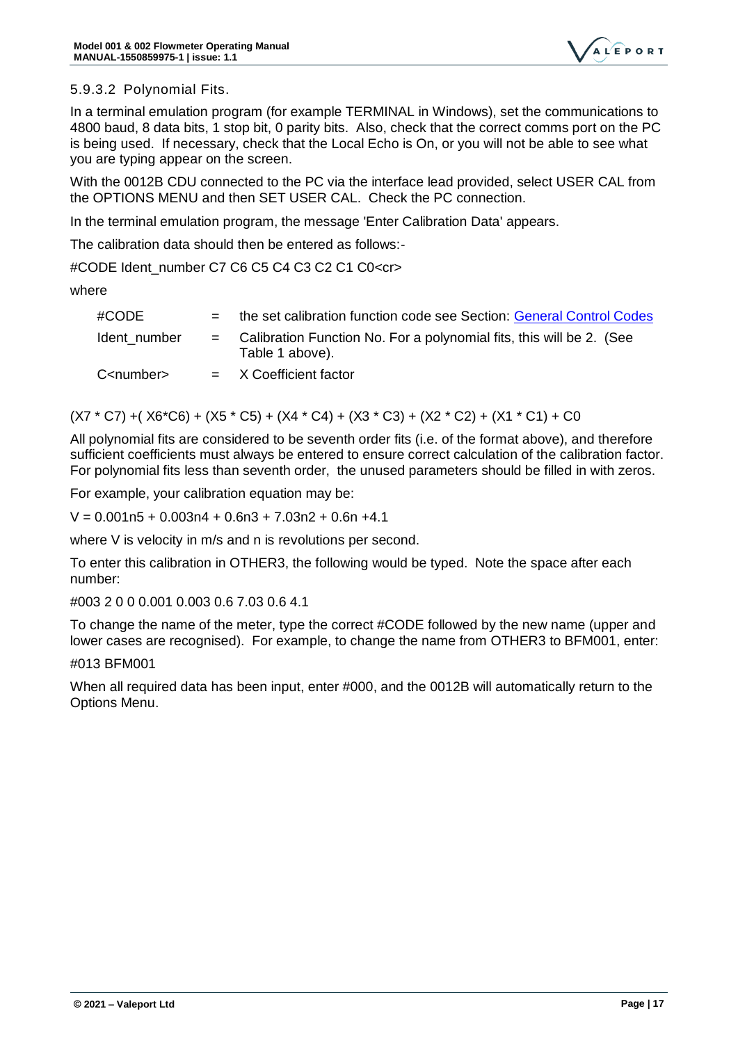

#### 5.9.3.2 Polynomial Fits.

In a terminal emulation program (for example TERMINAL in Windows), set the communications to 4800 baud, 8 data bits, 1 stop bit, 0 parity bits. Also, check that the correct comms port on the PC is being used. If necessary, check that the Local Echo is On, or you will not be able to see what you are typing appear on the screen.

With the 0012B CDU connected to the PC via the interface lead provided, select USER CAL from the OPTIONS MENU and then SET USER CAL. Check the PC connection.

In the terminal emulation program, the message 'Enter Calibration Data' appears.

The calibration data should then be entered as follows:-

#CODE Ident\_number C7 C6 C5 C4 C3 C2 C1 C0<cr>

where

| #CODE               | $=$          | the set calibration function code see Section: General Control Codes                    |
|---------------------|--------------|-----------------------------------------------------------------------------------------|
| Ident number        | $=$ $\qquad$ | Calibration Function No. For a polynomial fits, this will be 2. (See<br>Table 1 above). |
| C <number></number> |              | $=$ X Coefficient factor                                                                |

(X7 \* C7) +( X6\*C6) + (X5 \* C5) + (X4 \* C4) + (X3 \* C3) + (X2 \* C2) + (X1 \* C1) + C0

All polynomial fits are considered to be seventh order fits (i.e. of the format above), and therefore sufficient coefficients must always be entered to ensure correct calculation of the calibration factor. For polynomial fits less than seventh order, the unused parameters should be filled in with zeros.

For example, your calibration equation may be:

 $V = 0.001n5 + 0.003n4 + 0.6n3 + 7.03n2 + 0.6n + 4.1$ 

where V is velocity in m/s and n is revolutions per second.

To enter this calibration in OTHER3, the following would be typed. Note the space after each number:

#003 2 0 0 0.001 0.003 0.6 7.03 0.6 4.1

To change the name of the meter, type the correct #CODE followed by the new name (upper and lower cases are recognised). For example, to change the name from OTHER3 to BFM001, enter:

#### #013 BFM001

When all required data has been input, enter #000, and the 0012B will automatically return to the Options Menu.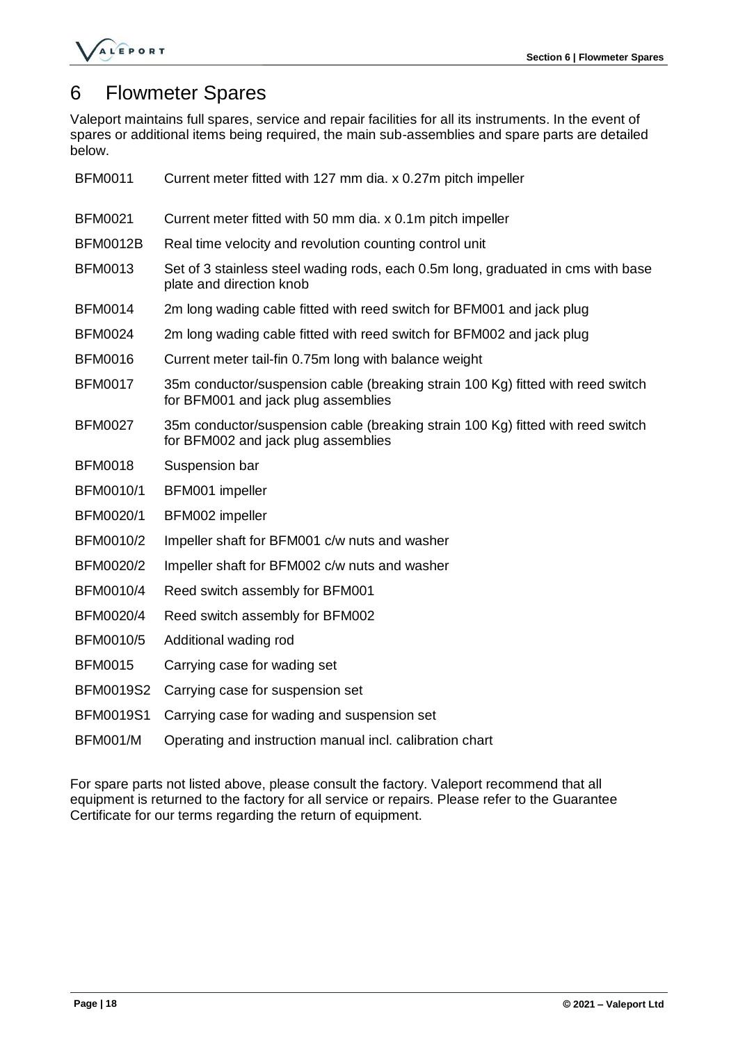

# <span id="page-20-0"></span>6 Flowmeter Spares

Valeport maintains full spares, service and repair facilities for all its instruments. In the event of spares or additional items being required, the main sub-assemblies and spare parts are detailed below.

| <b>BFM0011</b>   | Current meter fitted with 127 mm dia. x 0.27m pitch impeller                                                           |
|------------------|------------------------------------------------------------------------------------------------------------------------|
| <b>BFM0021</b>   | Current meter fitted with 50 mm dia. x 0.1m pitch impeller                                                             |
| <b>BFM0012B</b>  | Real time velocity and revolution counting control unit                                                                |
| <b>BFM0013</b>   | Set of 3 stainless steel wading rods, each 0.5m long, graduated in cms with base<br>plate and direction knob           |
| <b>BFM0014</b>   | 2m long wading cable fitted with reed switch for BFM001 and jack plug                                                  |
| <b>BFM0024</b>   | 2m long wading cable fitted with reed switch for BFM002 and jack plug                                                  |
| <b>BFM0016</b>   | Current meter tail-fin 0.75m long with balance weight                                                                  |
| <b>BFM0017</b>   | 35m conductor/suspension cable (breaking strain 100 Kg) fitted with reed switch<br>for BFM001 and jack plug assemblies |
| <b>BFM0027</b>   | 35m conductor/suspension cable (breaking strain 100 Kg) fitted with reed switch<br>for BFM002 and jack plug assemblies |
| <b>BFM0018</b>   | Suspension bar                                                                                                         |
| BFM0010/1        | BFM001 impeller                                                                                                        |
| BFM0020/1        | BFM002 impeller                                                                                                        |
| BFM0010/2        | Impeller shaft for BFM001 c/w nuts and washer                                                                          |
| BFM0020/2        | Impeller shaft for BFM002 c/w nuts and washer                                                                          |
| BFM0010/4        | Reed switch assembly for BFM001                                                                                        |
| BFM0020/4        | Reed switch assembly for BFM002                                                                                        |
| <b>BFM0010/5</b> | Additional wading rod                                                                                                  |
| <b>BFM0015</b>   | Carrying case for wading set                                                                                           |
| <b>BFM0019S2</b> | Carrying case for suspension set                                                                                       |
| <b>BFM0019S1</b> | Carrying case for wading and suspension set                                                                            |
| <b>BFM001/M</b>  | Operating and instruction manual incl. calibration chart                                                               |

For spare parts not listed above, please consult the factory. Valeport recommend that all equipment is returned to the factory for all service or repairs. Please refer to the Guarantee Certificate for our terms regarding the return of equipment.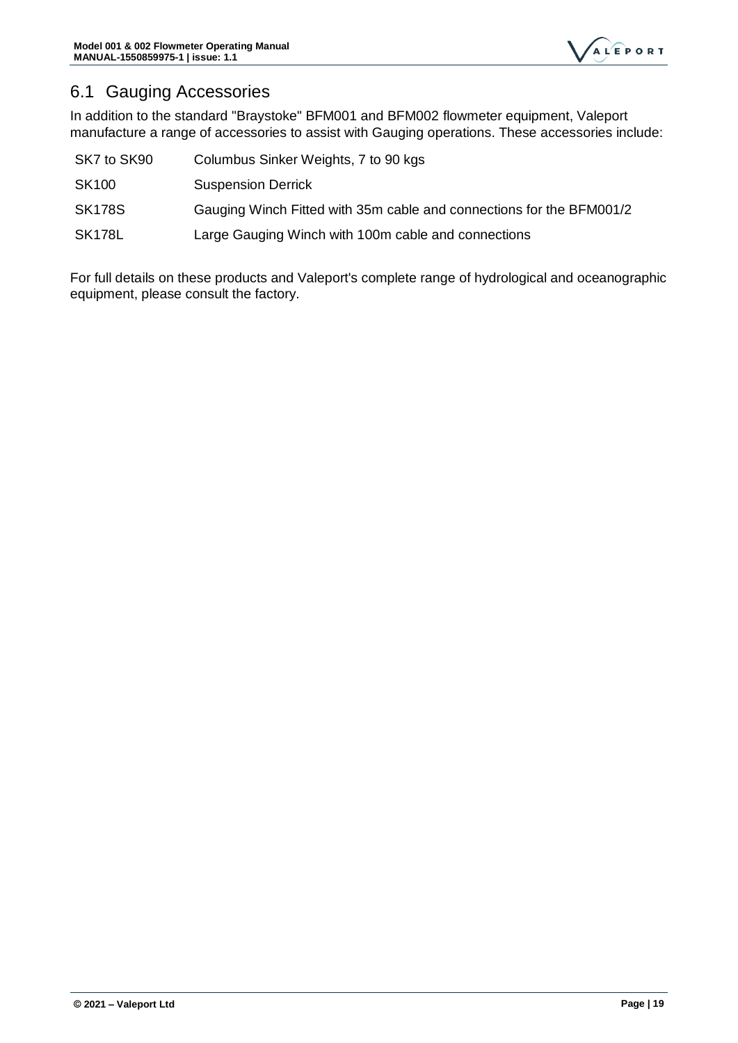

# <span id="page-21-0"></span>6.1 Gauging Accessories

In addition to the standard "Braystoke" BFM001 and BFM002 flowmeter equipment, Valeport manufacture a range of accessories to assist with Gauging operations. These accessories include:

| SK7 to SK90   | Columbus Sinker Weights, 7 to 90 kgs                                 |
|---------------|----------------------------------------------------------------------|
| <b>SK100</b>  | <b>Suspension Derrick</b>                                            |
| <b>SK178S</b> | Gauging Winch Fitted with 35m cable and connections for the BFM001/2 |
| <b>SK178L</b> | Large Gauging Winch with 100m cable and connections                  |

For full details on these products and Valeport's complete range of hydrological and oceanographic equipment, please consult the factory.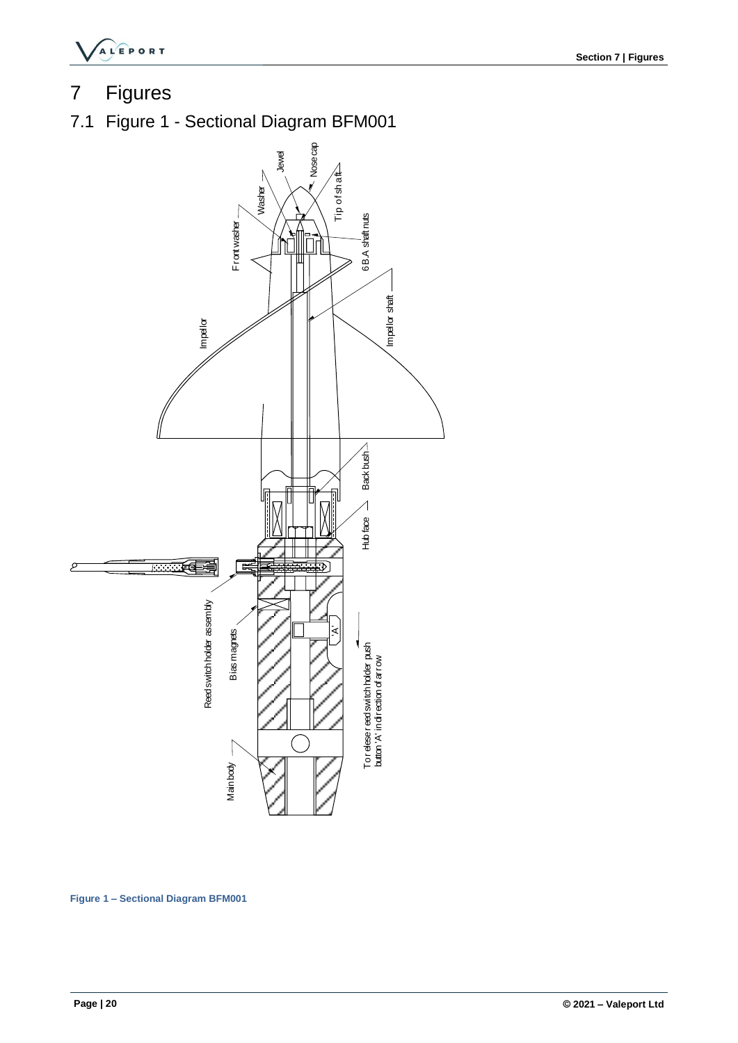

# <span id="page-22-0"></span>7 Figures

<span id="page-22-2"></span><span id="page-22-1"></span>7.1 Figure 1 - Sectional Diagram BFM001



**Figure 1 – Sectional Diagram BFM001**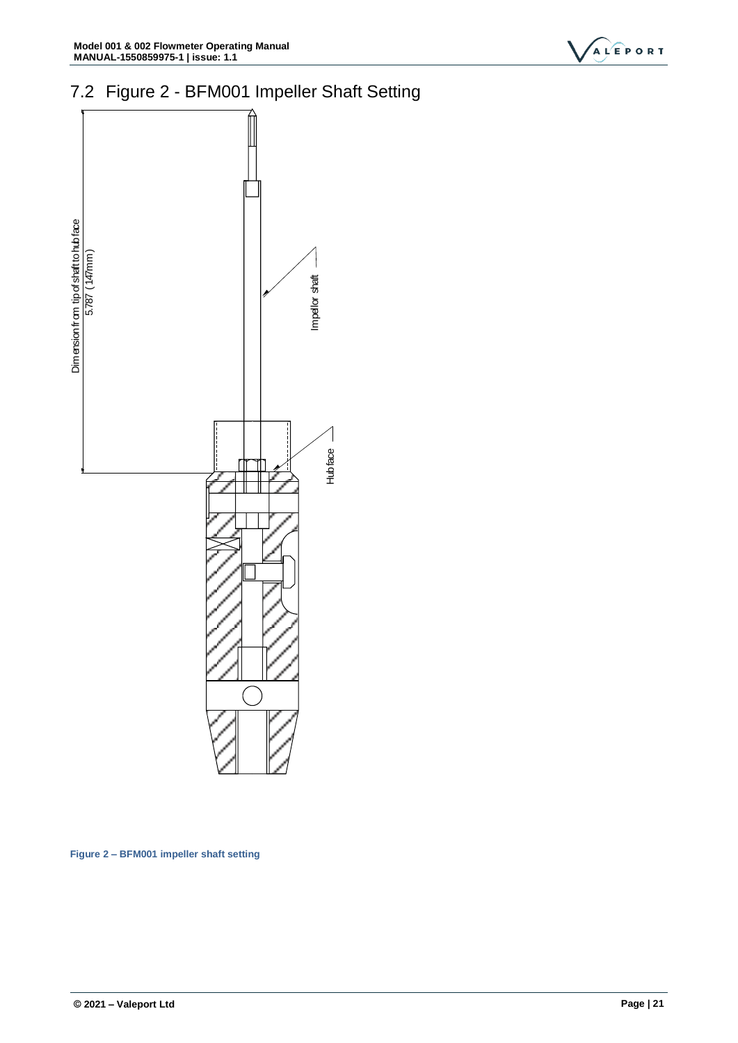

# <span id="page-23-0"></span>7.2 Figure 2 - BFM001 Impeller Shaft Setting



<span id="page-23-1"></span>**Figure 2 – BFM001 impeller shaft setting**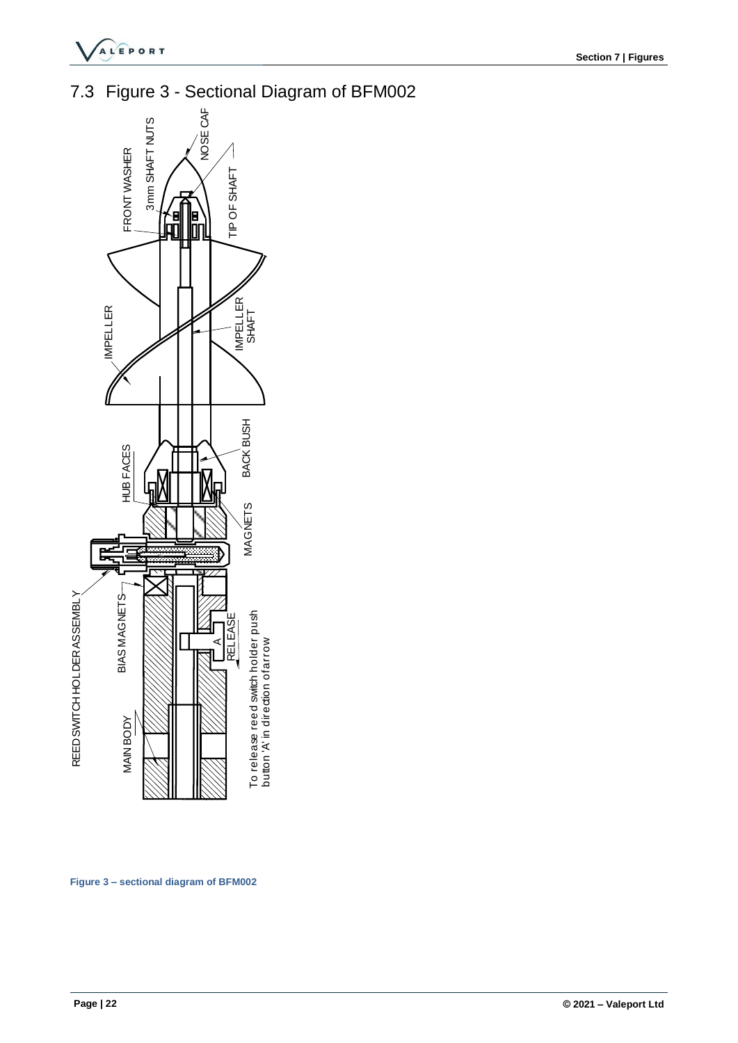

<span id="page-24-0"></span>7.3 Figure 3 - Sectional Diagram of BFM002



<span id="page-24-1"></span>**Figure 3 – sectional diagram of BFM002**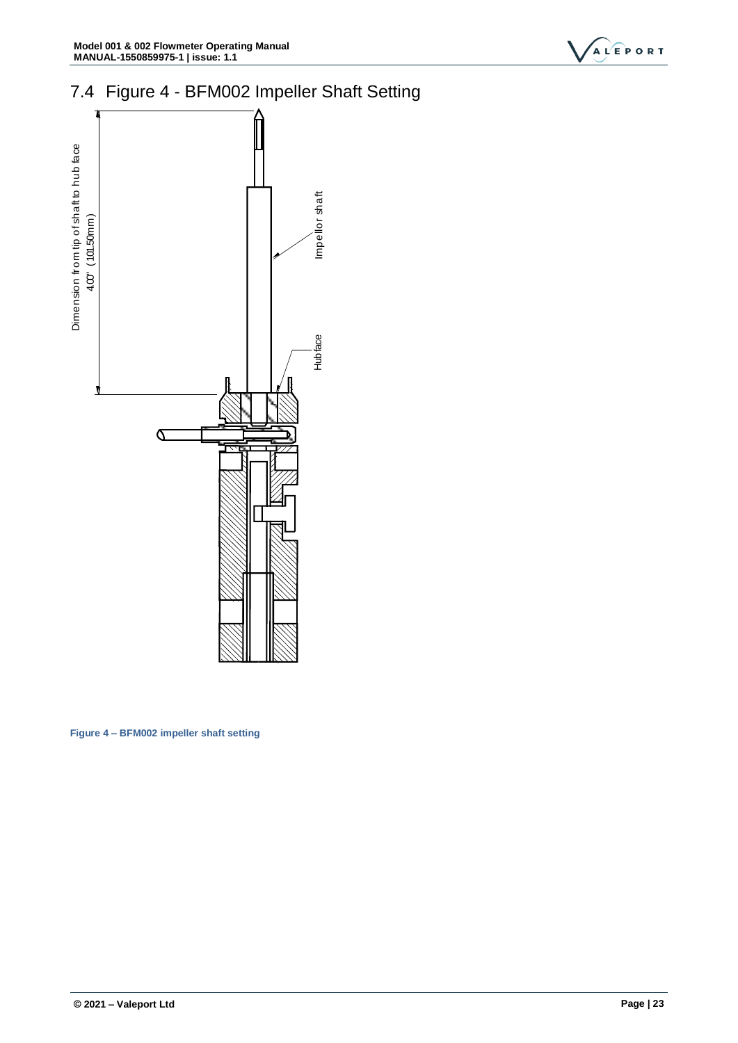

# <span id="page-25-0"></span>7.4 Figure 4 - BFM002 Impeller Shaft Setting



<span id="page-25-1"></span>**Figure 4 – BFM002 impeller shaft setting**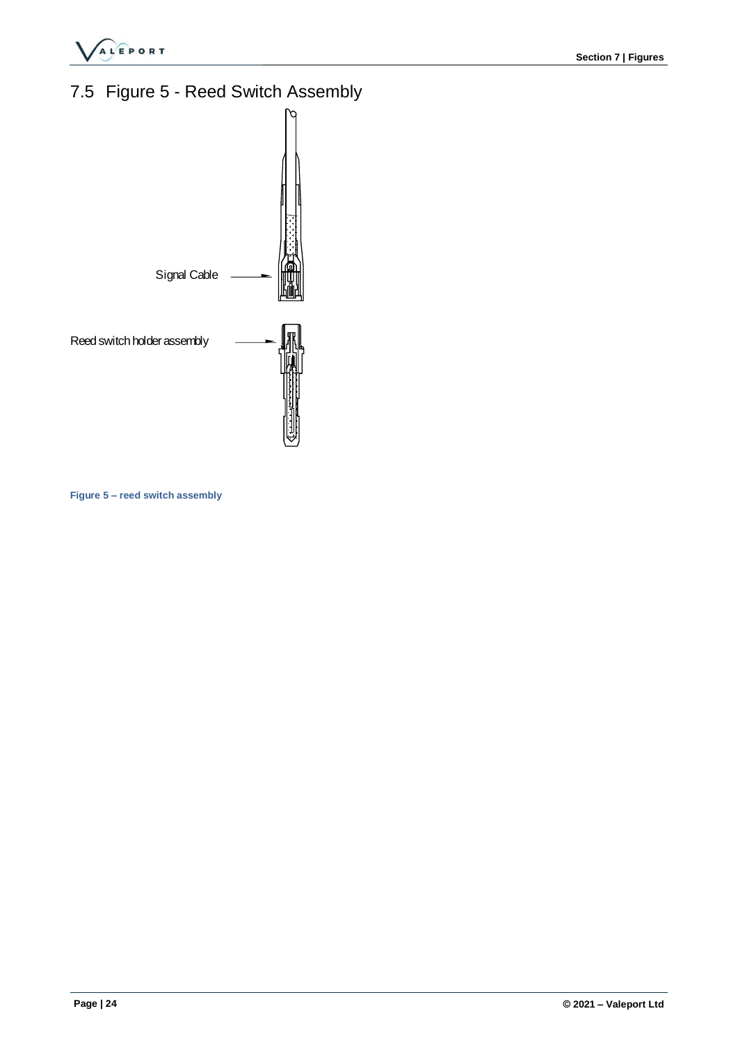

# <span id="page-26-0"></span>7.5 Figure 5 - Reed Switch Assembly



**Figure 5 – reed switch assembly**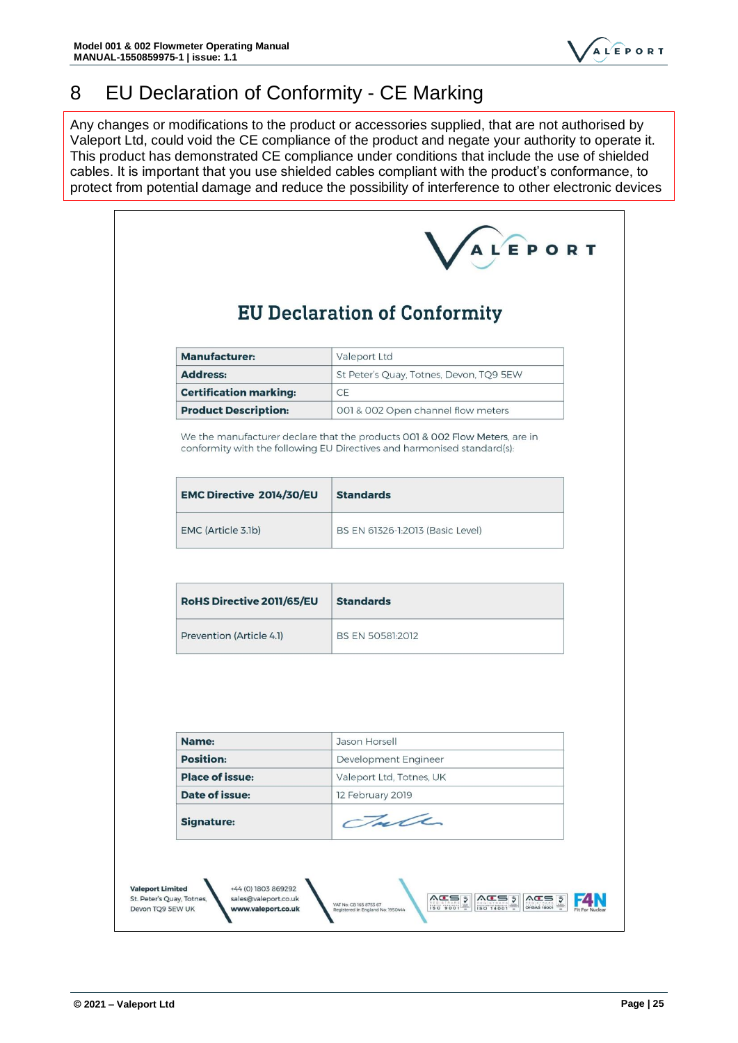

# <span id="page-27-0"></span>8 EU Declaration of Conformity - CE Marking

Any changes or modifications to the product or accessories supplied, that are not authorised by Valeport Ltd, could void the CE compliance of the product and negate your authority to operate it. This product has demonstrated CE compliance under conditions that include the use of shielded cables. It is important that you use shielded cables compliant with the product's conformance, to protect from potential damage and reduce the possibility of interference to other electronic devices

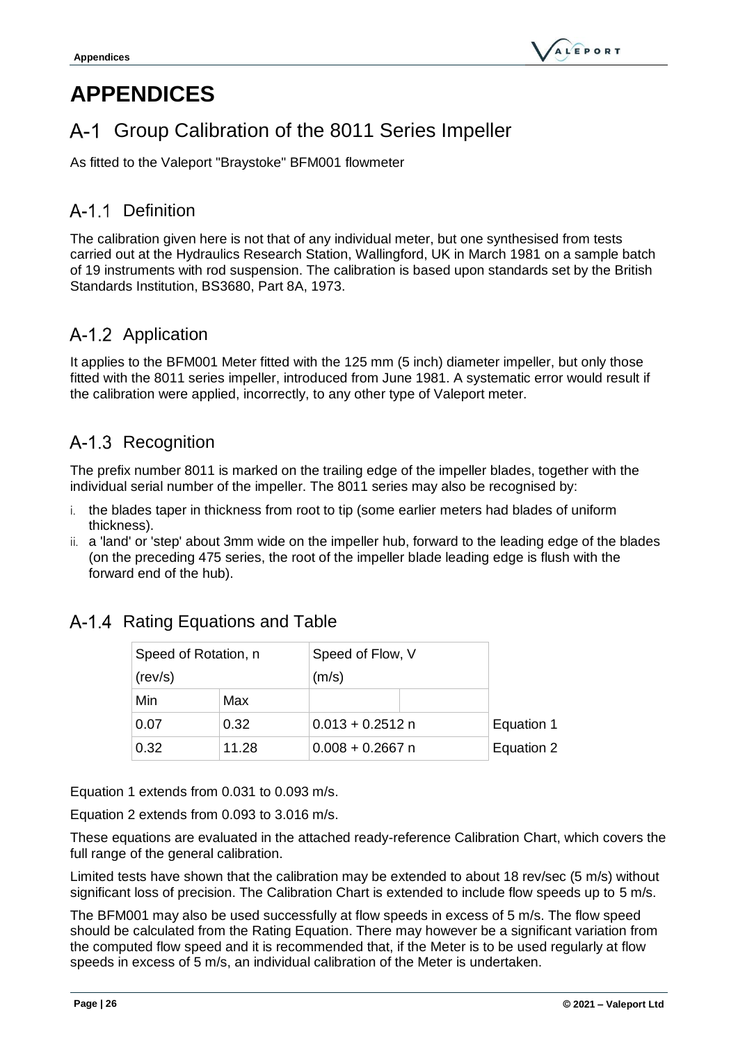# <span id="page-28-0"></span>**APPENDICES**

# <span id="page-28-1"></span>A-1 Group Calibration of the 8011 Series Impeller

As fitted to the Valeport "Braystoke" BFM001 flowmeter

# <span id="page-28-2"></span>A-1.1 Definition

The calibration given here is not that of any individual meter, but one synthesised from tests carried out at the Hydraulics Research Station, Wallingford, UK in March 1981 on a sample batch of 19 instruments with rod suspension. The calibration is based upon standards set by the British Standards Institution, BS3680, Part 8A, 1973.

# <span id="page-28-3"></span>A-1.2 Application

It applies to the BFM001 Meter fitted with the 125 mm (5 inch) diameter impeller, but only those fitted with the 8011 series impeller, introduced from June 1981. A systematic error would result if the calibration were applied, incorrectly, to any other type of Valeport meter.

# <span id="page-28-4"></span>A-1.3 Recognition

The prefix number 8011 is marked on the trailing edge of the impeller blades, together with the individual serial number of the impeller. The 8011 series may also be recognised by:

- i. the blades taper in thickness from root to tip (some earlier meters had blades of uniform thickness).
- ii. a 'land' or 'step' about 3mm wide on the impeller hub, forward to the leading edge of the blades (on the preceding 475 series, the root of the impeller blade leading edge is flush with the forward end of the hub).

| Speed of Rotation, n |       | Speed of Flow, V   |            |
|----------------------|-------|--------------------|------------|
| (rev/s)              |       | (m/s)              |            |
| Min                  | Max   |                    |            |
| 0.07                 | 0.32  | $0.013 + 0.2512$ n | Equation 1 |
| 0.32                 | 11.28 | $0.008 + 0.2667$ n | Equation 2 |

# <span id="page-28-5"></span>A-1.4 Rating Equations and Table

Equation 1 extends from 0.031 to 0.093 m/s.

Equation 2 extends from 0.093 to 3.016 m/s.

These equations are evaluated in the attached ready-reference Calibration Chart, which covers the full range of the general calibration.

Limited tests have shown that the calibration may be extended to about 18 rev/sec (5 m/s) without significant loss of precision. The Calibration Chart is extended to include flow speeds up to 5 m/s.

The BFM001 may also be used successfully at flow speeds in excess of 5 m/s. The flow speed should be calculated from the Rating Equation. There may however be a significant variation from the computed flow speed and it is recommended that, if the Meter is to be used regularly at flow speeds in excess of 5 m/s, an individual calibration of the Meter is undertaken.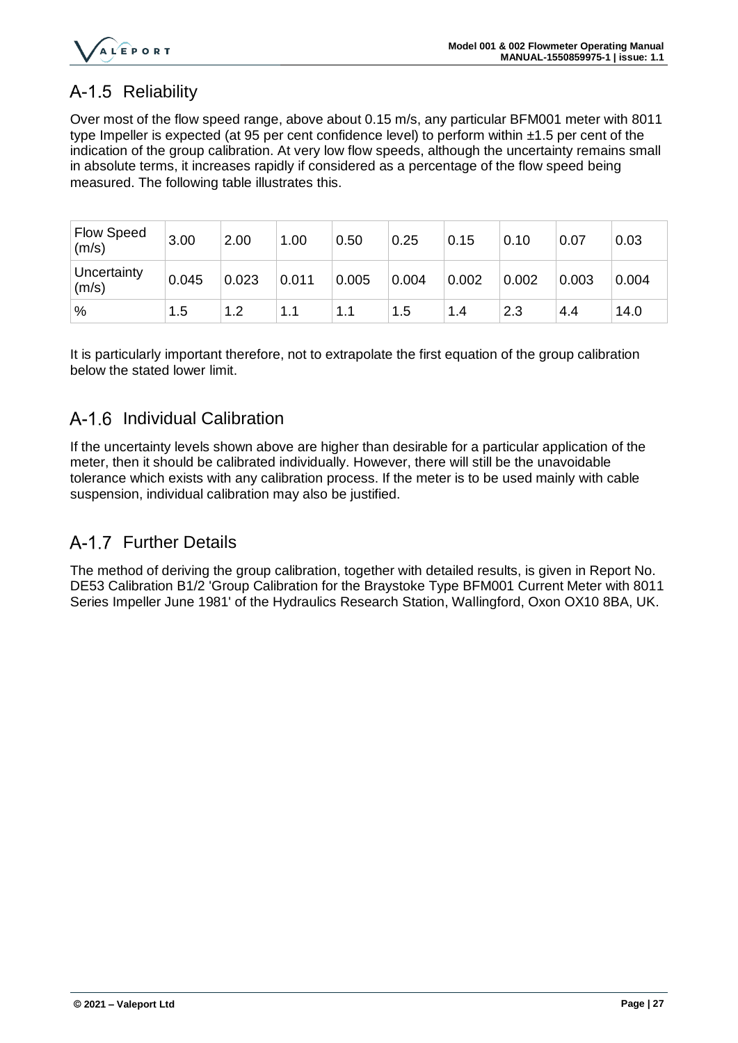

# <span id="page-29-0"></span>A-1.5 Reliability

Over most of the flow speed range, above about 0.15 m/s, any particular BFM001 meter with 8011 type Impeller is expected (at 95 per cent confidence level) to perform within ±1.5 per cent of the indication of the group calibration. At very low flow speeds, although the uncertainty remains small in absolute terms, it increases rapidly if considered as a percentage of the flow speed being measured. The following table illustrates this.

| <b>Flow Speed</b><br>(m/s) | 3.00  | 2.00  | 1.00  | 0.50  | 0.25  | 0.15  | 0.10  | 0.07  | 0.03  |
|----------------------------|-------|-------|-------|-------|-------|-------|-------|-------|-------|
| Uncertainty<br>(m/s)       | 0.045 | 0.023 | 0.011 | 0.005 | 0.004 | 0.002 | 0.002 | 0.003 | 0.004 |
| %                          | 1.5   | 1.2   | 1.1   | 1.1   | 1.5   | 1.4   | 2.3   | 4.4   | 14.0  |

It is particularly important therefore, not to extrapolate the first equation of the group calibration below the stated lower limit.

### <span id="page-29-1"></span>A-1.6 Individual Calibration

If the uncertainty levels shown above are higher than desirable for a particular application of the meter, then it should be calibrated individually. However, there will still be the unavoidable tolerance which exists with any calibration process. If the meter is to be used mainly with cable suspension, individual calibration may also be justified.

### <span id="page-29-2"></span>A-1.7 Further Details

The method of deriving the group calibration, together with detailed results, is given in Report No. DE53 Calibration B1/2 'Group Calibration for the Braystoke Type BFM001 Current Meter with 8011 Series Impeller June 1981' of the Hydraulics Research Station, Wallingford, Oxon OX10 8BA, UK.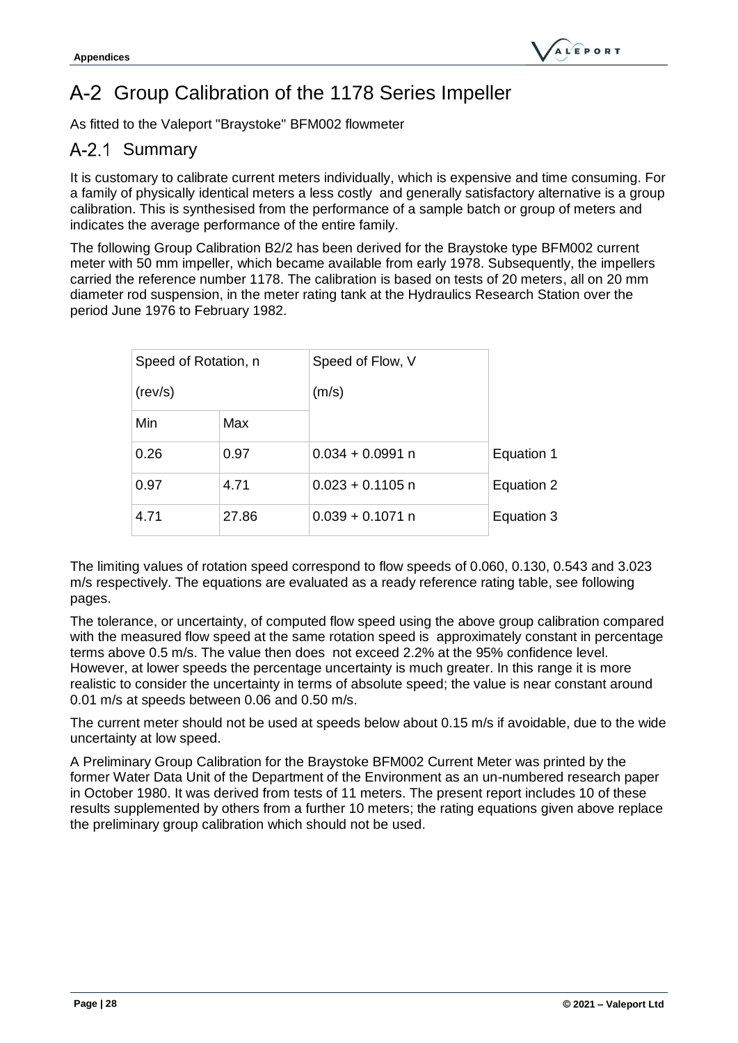# <span id="page-30-0"></span>A-2 Group Calibration of the 1178 Series Impeller

As fitted to the Valeport "Braystoke" BFM002 flowmeter

### <span id="page-30-1"></span>A-2.1 Summary

It is customary to calibrate current meters individually, which is expensive and time consuming. For a family of physically identical meters a less costly and generally satisfactory alternative is a group calibration. This is synthesised from the performance of a sample batch or group of meters and indicates the average performance of the entire family.

The following Group Calibration B2/2 has been derived for the Braystoke type BFM002 current meter with 50 mm impeller, which became available from early 1978. Subsequently, the impellers carried the reference number 1178. The calibration is based on tests of 20 meters, all on 20 mm diameter rod suspension, in the meter rating tank at the Hydraulics Research Station over the period June 1976 to February 1982.

| Speed of Rotation, n |       | Speed of Flow, V   |            |
|----------------------|-------|--------------------|------------|
| (rev/s)              |       | (m/s)              |            |
| Min                  | Max   |                    |            |
| 0.26                 | 0.97  | $0.034 + 0.0991$ n | Equation 1 |
| 0.97                 | 4.71  | $0.023 + 0.1105$ n | Equation 2 |
| 4.71                 | 27.86 | $0.039 + 0.1071$ n | Equation 3 |

The limiting values of rotation speed correspond to flow speeds of 0.060, 0.130, 0.543 and 3.023 m/s respectively. The equations are evaluated as a ready reference rating table, see following pages.

The tolerance, or uncertainty, of computed flow speed using the above group calibration compared with the measured flow speed at the same rotation speed is approximately constant in percentage terms above 0.5 m/s. The value then does not exceed 2.2% at the 95% confidence level. However, at lower speeds the percentage uncertainty is much greater. In this range it is more realistic to consider the uncertainty in terms of absolute speed; the value is near constant around 0.01 m/s at speeds between 0.06 and 0.50 m/s.

The current meter should not be used at speeds below about 0.15 m/s if avoidable, due to the wide uncertainty at low speed.

A Preliminary Group Calibration for the Braystoke BFM002 Current Meter was printed by the former Water Data Unit of the Department of the Environment as an un-numbered research paper in October 1980. It was derived from tests of 11 meters. The present report includes 10 of these results supplemented by others from a further 10 meters; the rating equations given above replace the preliminary group calibration which should not be used.